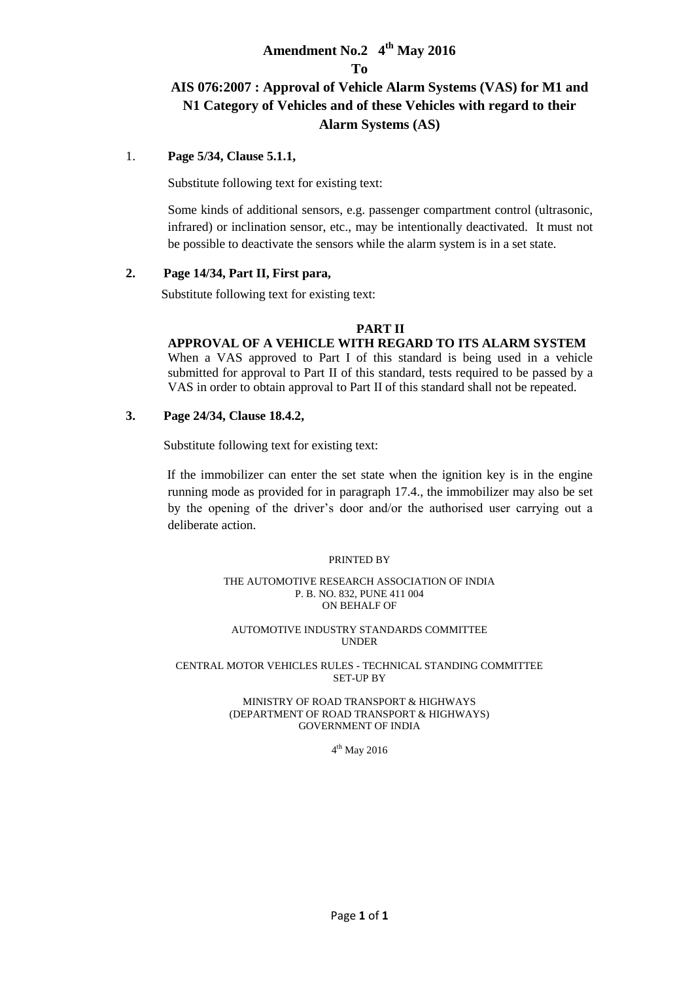# **Amendment No.2 4 th May 2016**

#### **To**

# **AIS 076:2007 : Approval of Vehicle Alarm Systems (VAS) for M1 and N1 Category of Vehicles and of these Vehicles with regard to their Alarm Systems (AS)**

#### 1. **Page 5/34, Clause 5.1.1,**

Substitute following text for existing text:

Some kinds of additional sensors, e.g. passenger compartment control (ultrasonic, infrared) or inclination sensor, etc., may be intentionally deactivated. It must not be possible to deactivate the sensors while the alarm system is in a set state.

#### **2. Page 14/34, Part II, First para,**

Substitute following text for existing text:

#### **PART II**

#### **APPROVAL OF A VEHICLE WITH REGARD TO ITS ALARM SYSTEM**

When a VAS approved to Part I of this standard is being used in a vehicle submitted for approval to Part II of this standard, tests required to be passed by a VAS in order to obtain approval to Part II of this standard shall not be repeated.

#### **3. Page 24/34, Clause 18.4.2,**

Substitute following text for existing text:

If the immobilizer can enter the set state when the ignition key is in the engine running mode as provided for in paragraph 17.4., the immobilizer may also be set by the opening of the driver's door and/or the authorised user carrying out a deliberate action.

#### PRINTED BY

#### THE AUTOMOTIVE RESEARCH ASSOCIATION OF INDIA P. B. NO. 832, PUNE 411 004 ON BEHALF OF

#### AUTOMOTIVE INDUSTRY STANDARDS COMMITTEE UNDER

#### CENTRAL MOTOR VEHICLES RULES - TECHNICAL STANDING COMMITTEE SET-UP BY

#### MINISTRY OF ROAD TRANSPORT & HIGHWAYS (DEPARTMENT OF ROAD TRANSPORT & HIGHWAYS) GOVERNMENT OF INDIA

4<sup>th</sup> May 2016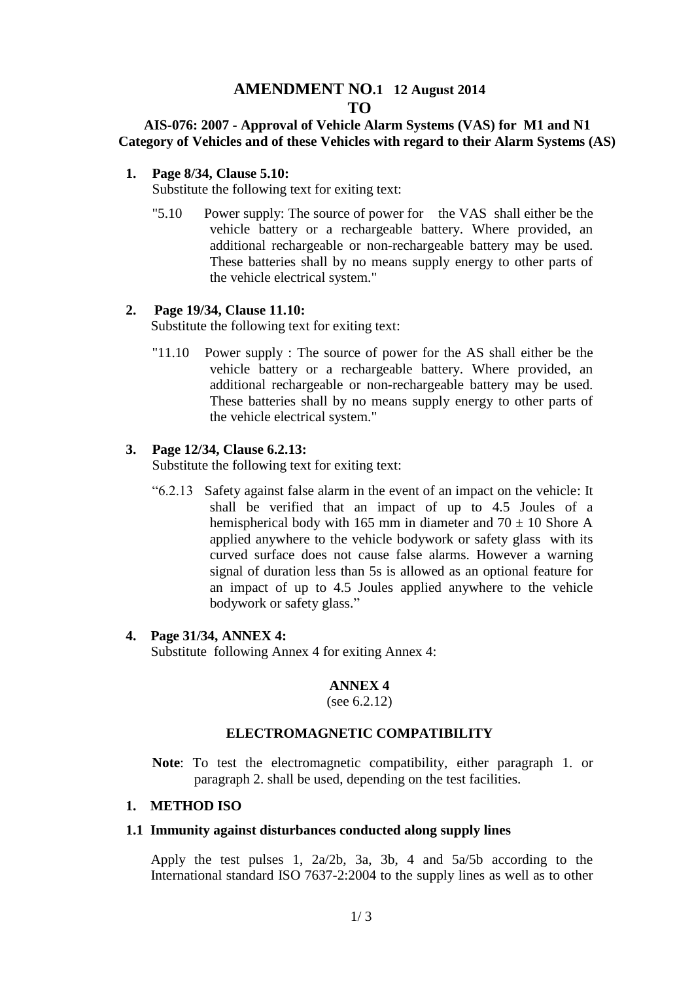# **AMENDMENT NO.1 12 August 2014 TO**

# **AIS-076: 2007 - Approval of Vehicle Alarm Systems (VAS) for M1 and N1 Category of Vehicles and of these Vehicles with regard to their Alarm Systems (AS)**

### **1. Page 8/34, Clause 5.10:**

Substitute the following text for exiting text:

"5.10 Power supply: The source of power for the VAS shall either be the vehicle battery or a rechargeable battery. Where provided, an additional rechargeable or non-rechargeable battery may be used. These batteries shall by no means supply energy to other parts of the vehicle electrical system."

# **2. Page 19/34, Clause 11.10:**

Substitute the following text for exiting text:

"11.10 Power supply : The source of power for the AS shall either be the vehicle battery or a rechargeable battery. Where provided, an additional rechargeable or non-rechargeable battery may be used. These batteries shall by no means supply energy to other parts of the vehicle electrical system."

# **3. Page 12/34, Clause 6.2.13:**

Substitute the following text for exiting text:

"6.2.13 Safety against false alarm in the event of an impact on the vehicle: It shall be verified that an impact of up to 4.5 Joules of a hemispherical body with 165 mm in diameter and  $70 \pm 10$  Shore A applied anywhere to the vehicle bodywork or safety glass with its curved surface does not cause false alarms. However a warning signal of duration less than 5s is allowed as an optional feature for an impact of up to 4.5 Joules applied anywhere to the vehicle bodywork or safety glass."

# **4. Page 31/34, ANNEX 4:**

Substitute following Annex 4 for exiting Annex 4:

# **ANNEX 4**

(see 6.2.12)

# **ELECTROMAGNETIC COMPATIBILITY**

**Note**: To test the electromagnetic compatibility, either paragraph 1. or paragraph 2. shall be used, depending on the test facilities.

### **1. METHOD ISO**

### **1.1 Immunity against disturbances conducted along supply lines**

Apply the test pulses 1, 2a/2b, 3a, 3b, 4 and 5a/5b according to the International standard ISO 7637-2:2004 to the supply lines as well as to other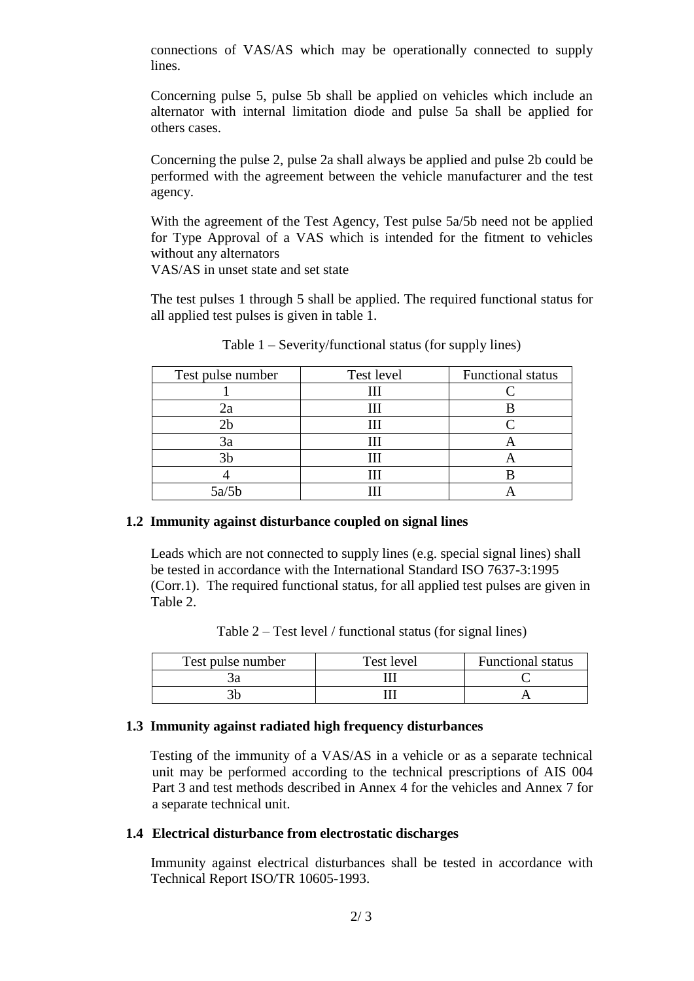connections of VAS/AS which may be operationally connected to supply lines.

Concerning pulse 5, pulse 5b shall be applied on vehicles which include an alternator with internal limitation diode and pulse 5a shall be applied for others cases.

Concerning the pulse 2, pulse 2a shall always be applied and pulse 2b could be performed with the agreement between the vehicle manufacturer and the test agency.

With the agreement of the Test Agency, Test pulse 5a/5b need not be applied for Type Approval of a VAS which is intended for the fitment to vehicles without any alternators

VAS/AS in unset state and set state

The test pulses 1 through 5 shall be applied. The required functional status for all applied test pulses is given in table 1.

| Test pulse number | Test level | Functional status |
|-------------------|------------|-------------------|
|                   |            |                   |
| 22                |            |                   |
| 2b                |            |                   |
| 3a                |            |                   |
| 3b                |            |                   |
|                   |            |                   |
| 5a/5b             |            |                   |

Table 1 – Severity/functional status (for supply lines)

# **1.2 Immunity against disturbance coupled on signal lines**

Leads which are not connected to supply lines (e.g. special signal lines) shall be tested in accordance with the International Standard ISO 7637-3:1995 (Corr.1). The required functional status, for all applied test pulses are given in Table 2.

Table 2 – Test level / functional status (for signal lines)

| Test pulse number | Test level | <b>Functional status</b> |
|-------------------|------------|--------------------------|
|                   |            |                          |
|                   |            |                          |

# **1.3 Immunity against radiated high frequency disturbances**

Testing of the immunity of a VAS/AS in a vehicle or as a separate technical unit may be performed according to the technical prescriptions of AIS 004 Part 3 and test methods described in Annex 4 for the vehicles and Annex 7 for a separate technical unit.

# **1.4 Electrical disturbance from electrostatic discharges**

Immunity against electrical disturbances shall be tested in accordance with Technical Report ISO/TR 10605-1993.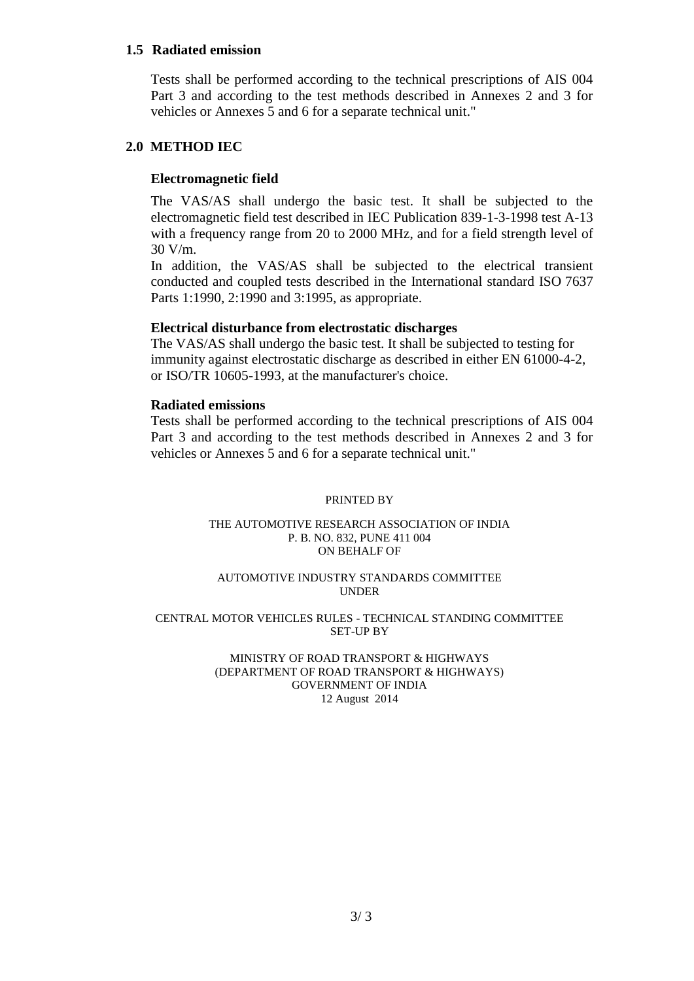#### **1.5 Radiated emission**

Tests shall be performed according to the technical prescriptions of AIS 004 Part 3 and according to the test methods described in Annexes 2 and 3 for vehicles or Annexes 5 and 6 for a separate technical unit."

# **2.0 METHOD IEC**

# **Electromagnetic field**

The VAS/AS shall undergo the basic test. It shall be subjected to the electromagnetic field test described in IEC Publication 839-1-3-1998 test A-13 with a frequency range from 20 to 2000 MHz, and for a field strength level of 30 V/m.

In addition, the VAS/AS shall be subjected to the electrical transient conducted and coupled tests described in the International standard ISO 7637 Parts 1:1990, 2:1990 and 3:1995, as appropriate.

#### **Electrical disturbance from electrostatic discharges**

The VAS/AS shall undergo the basic test. It shall be subjected to testing for immunity against electrostatic discharge as described in either EN 61000-4-2, or ISO/TR 10605-1993, at the manufacturer's choice.

#### **Radiated emissions**

Tests shall be performed according to the technical prescriptions of AIS 004 Part 3 and according to the test methods described in Annexes 2 and 3 for vehicles or Annexes 5 and 6 for a separate technical unit."

#### PRINTED BY

#### THE AUTOMOTIVE RESEARCH ASSOCIATION OF INDIA P. B. NO. 832, PUNE 411 004 ON BEHALF OF

#### AUTOMOTIVE INDUSTRY STANDARDS COMMITTEE UNDER

#### CENTRAL MOTOR VEHICLES RULES - TECHNICAL STANDING COMMITTEE SET-UP BY

MINISTRY OF ROAD TRANSPORT & HIGHWAYS (DEPARTMENT OF ROAD TRANSPORT & HIGHWAYS) GOVERNMENT OF INDIA 12 August 2014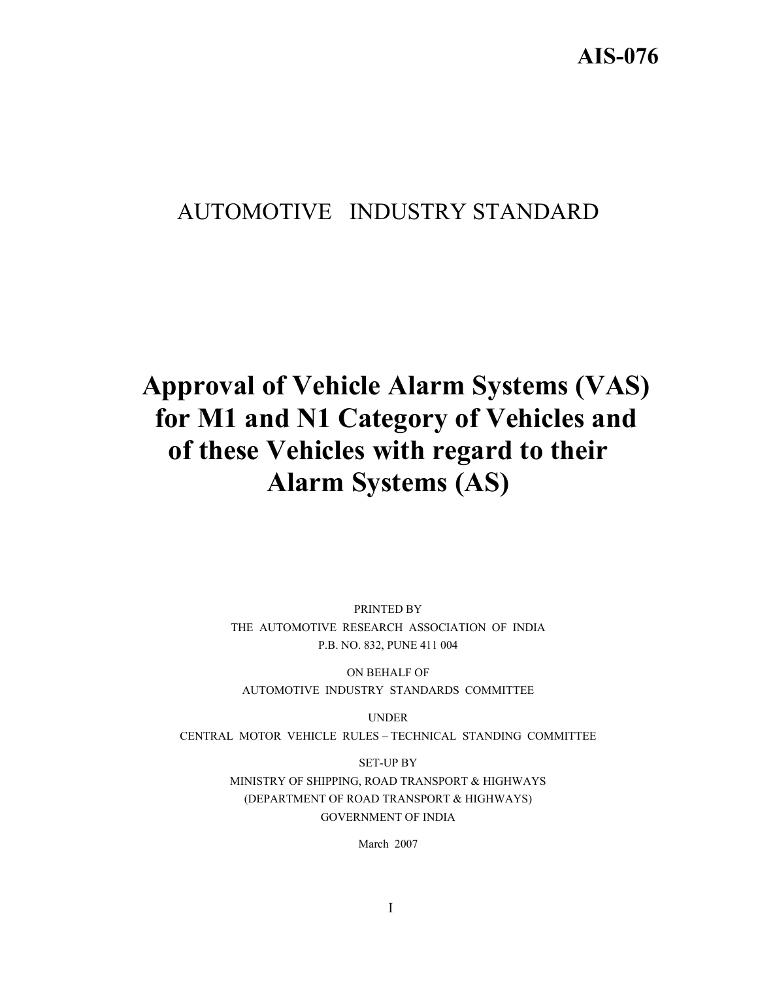# AUTOMOTIVE INDUSTRY STANDARD

# **Approval of Vehicle Alarm Systems (VAS) for M1 and N1 Category of Vehicles and of these Vehicles with regard to their Alarm Systems (AS)**

PRINTED BY THE AUTOMOTIVE RESEARCH ASSOCIATION OF INDIA P.B. NO. 832, PUNE 411 004

ON BEHALF OF AUTOMOTIVE INDUSTRY STANDARDS COMMITTEE

UNDER CENTRAL MOTOR VEHICLE RULES – TECHNICAL STANDING COMMITTEE

> SET-UP BY MINISTRY OF SHIPPING, ROAD TRANSPORT & HIGHWAYS (DEPARTMENT OF ROAD TRANSPORT & HIGHWAYS) GOVERNMENT OF INDIA

> > March 2007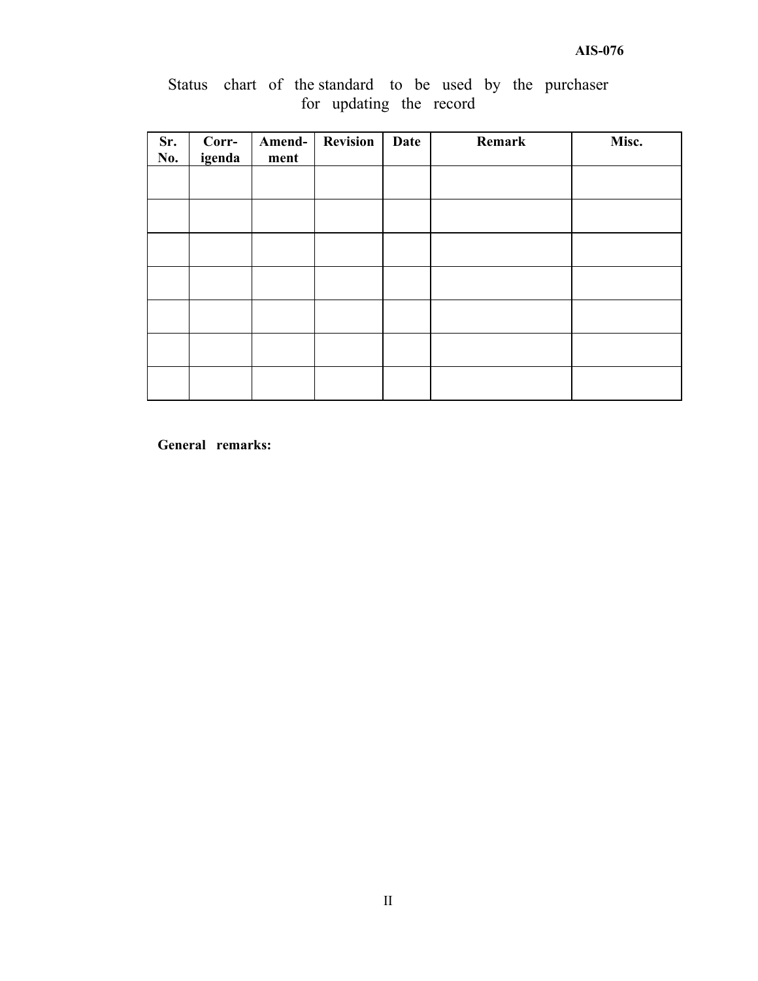|  |  |                         |  |  | Status chart of the standard to be used by the purchaser |
|--|--|-------------------------|--|--|----------------------------------------------------------|
|  |  | for updating the record |  |  |                                                          |

| Sr.<br>No. | Corr-<br>igenda | Amend-<br>ment | Revision | Date | Remark | Misc. |
|------------|-----------------|----------------|----------|------|--------|-------|
|            |                 |                |          |      |        |       |
|            |                 |                |          |      |        |       |
|            |                 |                |          |      |        |       |
|            |                 |                |          |      |        |       |
|            |                 |                |          |      |        |       |
|            |                 |                |          |      |        |       |
|            |                 |                |          |      |        |       |

**General remarks:**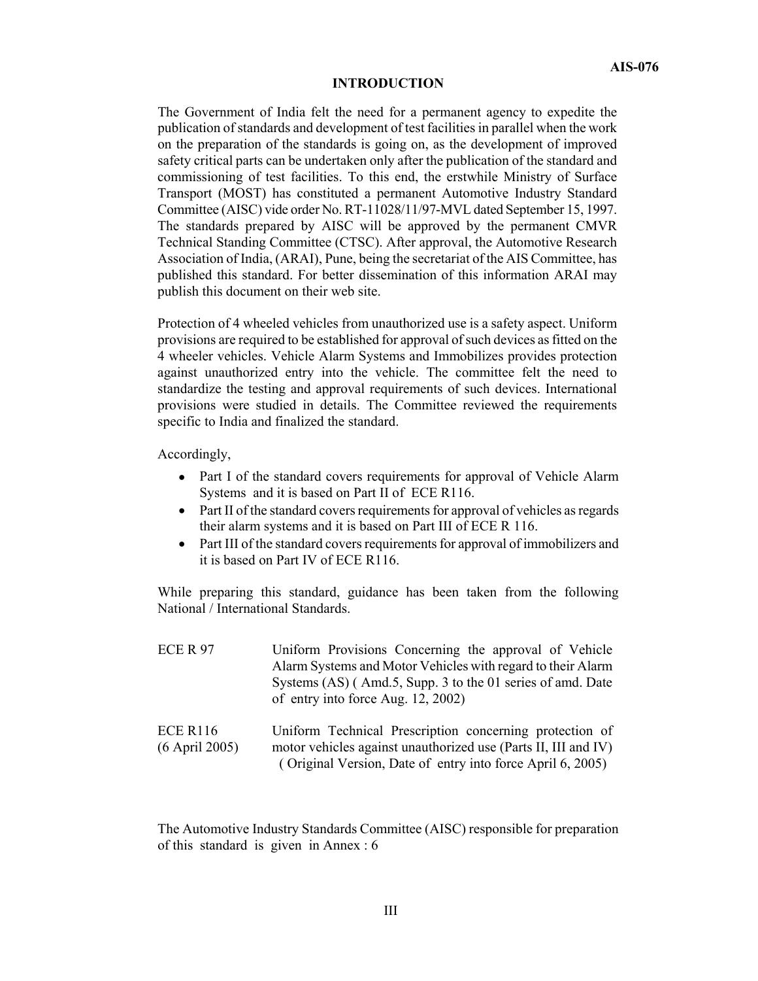#### **INTRODUCTION**

The Government of India felt the need for a permanent agency to expedite the publication of standards and development of test facilities in parallel when the work on the preparation of the standards is going on, as the development of improved safety critical parts can be undertaken only after the publication of the standard and commissioning of test facilities. To this end, the erstwhile Ministry of Surface Transport (MOST) has constituted a permanent Automotive Industry Standard Committee (AISC) vide order No. RT-11028/11/97-MVL dated September 15, 1997. The standards prepared by AISC will be approved by the permanent CMVR Technical Standing Committee (CTSC). After approval, the Automotive Research Association of India, (ARAI), Pune, being the secretariat of the AIS Committee, has published this standard. For better dissemination of this information ARAI may publish this document on their web site.

Protection of 4 wheeled vehicles from unauthorized use is a safety aspect. Uniform provisions are required to be established for approval of such devices as fitted on the 4 wheeler vehicles. Vehicle Alarm Systems and Immobilizes provides protection against unauthorized entry into the vehicle. The committee felt the need to standardize the testing and approval requirements of such devices. International provisions were studied in details. The Committee reviewed the requirements specific to India and finalized the standard.

Accordingly,

- Part I of the standard covers requirements for approval of Vehicle Alarm Systems and it is based on Part II of ECE R116.
- Part II of the standard covers requirements for approval of vehicles as regards their alarm systems and it is based on Part III of ECE R 116.
- Part III of the standard covers requirements for approval of immobilizers and it is based on Part IV of ECE R116.

While preparing this standard, guidance has been taken from the following National / International Standards.

| <b>ECE R 97</b>                     | Uniform Provisions Concerning the approval of Vehicle<br>Alarm Systems and Motor Vehicles with regard to their Alarm<br>Systems (AS) (Amd.5, Supp. 3 to the 01 series of amd. Date<br>of entry into force Aug. 12, 2002) |
|-------------------------------------|--------------------------------------------------------------------------------------------------------------------------------------------------------------------------------------------------------------------------|
| <b>ECE R116</b><br>$(6$ April 2005) | Uniform Technical Prescription concerning protection of<br>motor vehicles against unauthorized use (Parts II, III and IV)<br>(Original Version, Date of entry into force April 6, 2005)                                  |

The Automotive Industry Standards Committee (AISC) responsible for preparation of this standard is given in Annex : 6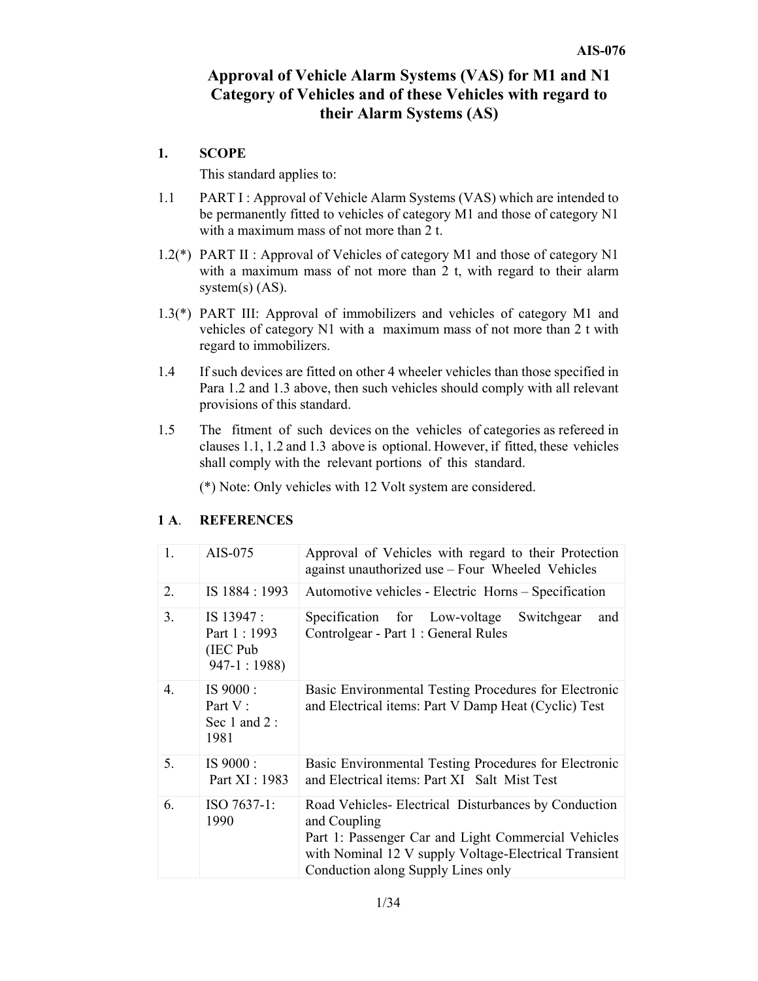# **Approval of Vehicle Alarm Systems (VAS) for M1 and N1 Category of Vehicles and of these Vehicles with regard to their Alarm Systems (AS)**

### **1. SCOPE**

This standard applies to:

- 1.1 PART I: Approval of Vehicle Alarm Systems (VAS) which are intended to be permanently fitted to vehicles of category M1 and those of category N1 with a maximum mass of not more than 2 t.
- 1.2(\*) PART II : Approval of Vehicles of category M1 and those of category N1 with a maximum mass of not more than 2 t, with regard to their alarm system $(s)$  (AS).
- 1.3(\*) PART III: Approval of immobilizers and vehicles of category M1 and vehicles of category N1 with a maximum mass of not more than 2 t with regard to immobilizers.
- 1.4 If such devices are fitted on other 4 wheeler vehicles than those specified in Para 1.2 and 1.3 above, then such vehicles should comply with all relevant provisions of this standard.
- 1.5 The fitment of such devices on the vehicles of categories as refereed in clauses 1.1, 1.2 and 1.3 above is optional. However, if fitted, these vehicles shall comply with the relevant portions of this standard.

(\*) Note: Only vehicles with 12 Volt system are considered.

| 1.               | AIS-075                                                  | Approval of Vehicles with regard to their Protection<br>against unauthorized use - Four Wheeled Vehicles                                                                                                                  |
|------------------|----------------------------------------------------------|---------------------------------------------------------------------------------------------------------------------------------------------------------------------------------------------------------------------------|
| 2.               | IS 1884 : 1993                                           | Automotive vehicles - Electric Horns - Specification                                                                                                                                                                      |
| 3 <sub>1</sub>   | IS 13947 :<br>Part 1 : 1993<br>(IEC Pub)<br>$947-1:1988$ | Specification for Low-voltage<br>Switchgear<br>and<br>Controlgear - Part 1 : General Rules                                                                                                                                |
| $\overline{4}$ . | IS 9000:<br>Part V:<br>Sec 1 and 2:<br>1981              | Basic Environmental Testing Procedures for Electronic<br>and Electrical items: Part V Damp Heat (Cyclic) Test                                                                                                             |
| 5.               | IS 9000:<br>Part XI : 1983                               | Basic Environmental Testing Procedures for Electronic<br>and Electrical items: Part XI Salt Mist Test                                                                                                                     |
| 6.               | $ISO 7637-1:$<br>1990                                    | Road Vehicles-Electrical Disturbances by Conduction<br>and Coupling<br>Part 1: Passenger Car and Light Commercial Vehicles<br>with Nominal 12 V supply Voltage-Electrical Transient<br>Conduction along Supply Lines only |

### **1 A**. **REFERENCES**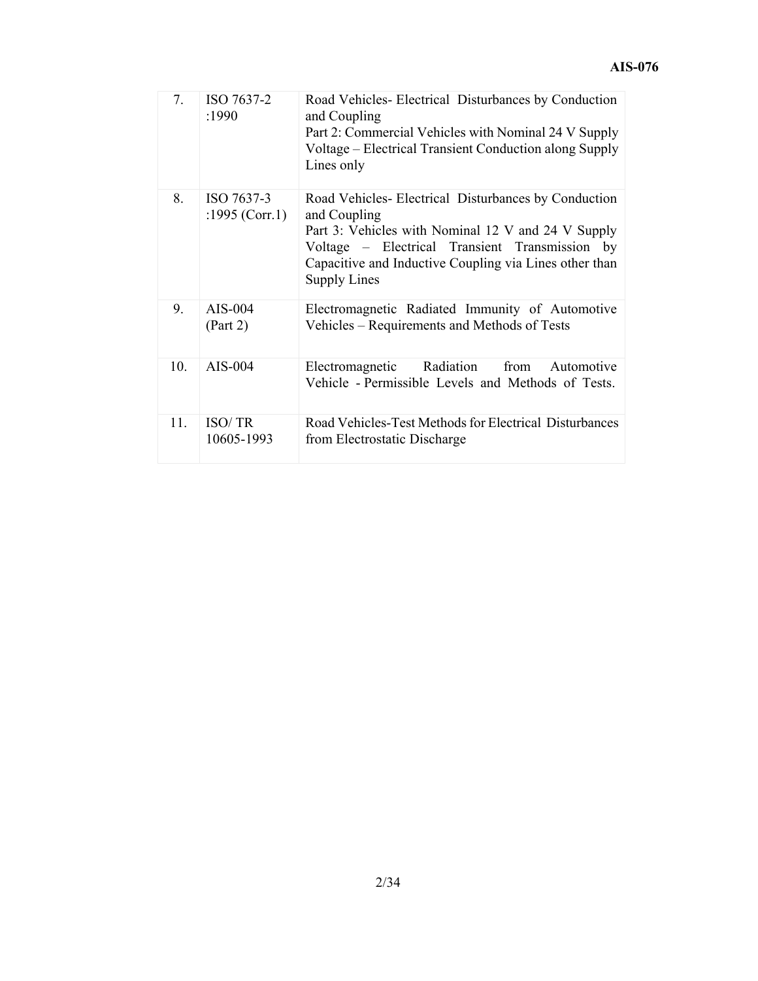| 7.  | ISO 7637-2<br>:1990          | Road Vehicles-Electrical Disturbances by Conduction<br>and Coupling<br>Part 2: Commercial Vehicles with Nominal 24 V Supply<br>Voltage – Electrical Transient Conduction along Supply<br>Lines only                                                          |
|-----|------------------------------|--------------------------------------------------------------------------------------------------------------------------------------------------------------------------------------------------------------------------------------------------------------|
| 8.  | ISO 7637-3<br>:1995 (Corr.1) | Road Vehicles-Electrical Disturbances by Conduction<br>and Coupling<br>Part 3: Vehicles with Nominal 12 V and 24 V Supply<br>Voltage – Electrical Transient Transmission by<br>Capacitive and Inductive Coupling via Lines other than<br><b>Supply Lines</b> |
| 9.  | $AIS-004$<br>(Part 2)        | Electromagnetic Radiated Immunity of Automotive<br>Vehicles – Requirements and Methods of Tests                                                                                                                                                              |
| 10. | $AIS-004$                    | Radiation<br>Electromagnetic<br>from<br>Automotive<br>Vehicle - Permissible Levels and Methods of Tests.                                                                                                                                                     |
| 11. | <b>ISO/TR</b><br>10605-1993  | Road Vehicles-Test Methods for Electrical Disturbances<br>from Electrostatic Discharge                                                                                                                                                                       |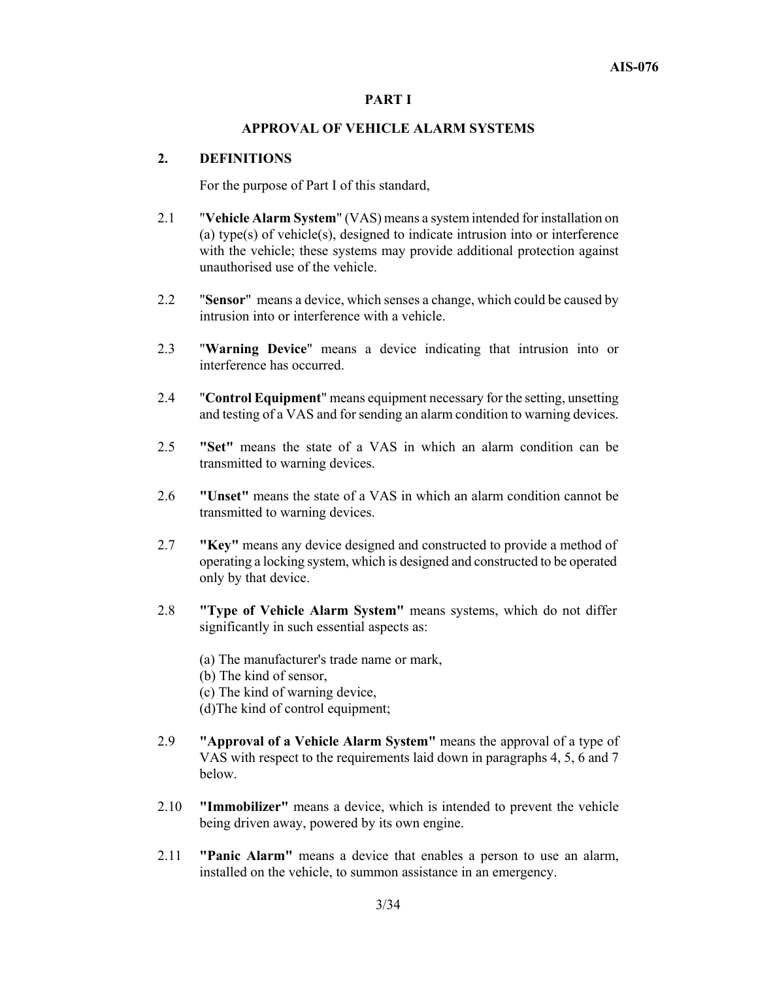#### **PART I**

#### **APPROVAL OF VEHICLE ALARM SYSTEMS**

#### **2. DEFINITIONS**

For the purpose of Part I of this standard,

- 2.1 "**Vehicle Alarm System**" (VAS) means a system intended for installation on (a) type(s) of vehicle(s), designed to indicate intrusion into or interference with the vehicle; these systems may provide additional protection against unauthorised use of the vehicle.
- 2.2 "**Sensor**" means a device, which senses a change, which could be caused by intrusion into or interference with a vehicle.
- 2.3 "**Warning Device**" means a device indicating that intrusion into or interference has occurred.
- 2.4 "**Control Equipment**" means equipment necessary for the setting, unsetting and testing of a VAS and for sending an alarm condition to warning devices.
- 2.5 **"Set"** means the state of a VAS in which an alarm condition can be transmitted to warning devices.
- 2.6 **"Unset"** means the state of a VAS in which an alarm condition cannot be transmitted to warning devices.
- 2.7 **"Key"** means any device designed and constructed to provide a method of operating a locking system, which is designed and constructed to be operated only by that device.
- 2.8 **"Type of Vehicle Alarm System"** means systems, which do not differ significantly in such essential aspects as:
	- (a) The manufacturer's trade name or mark,
	- (b) The kind of sensor,
	- (c) The kind of warning device,
	- (d)The kind of control equipment;
- 2.9 **"Approval of a Vehicle Alarm System"** means the approval of a type of VAS with respect to the requirements laid down in paragraphs 4, 5, 6 and 7 below.
- 2.10 **"Immobilizer"** means a device, which is intended to prevent the vehicle being driven away, powered by its own engine.
- 2.11 **"Panic Alarm"** means a device that enables a person to use an alarm, installed on the vehicle, to summon assistance in an emergency.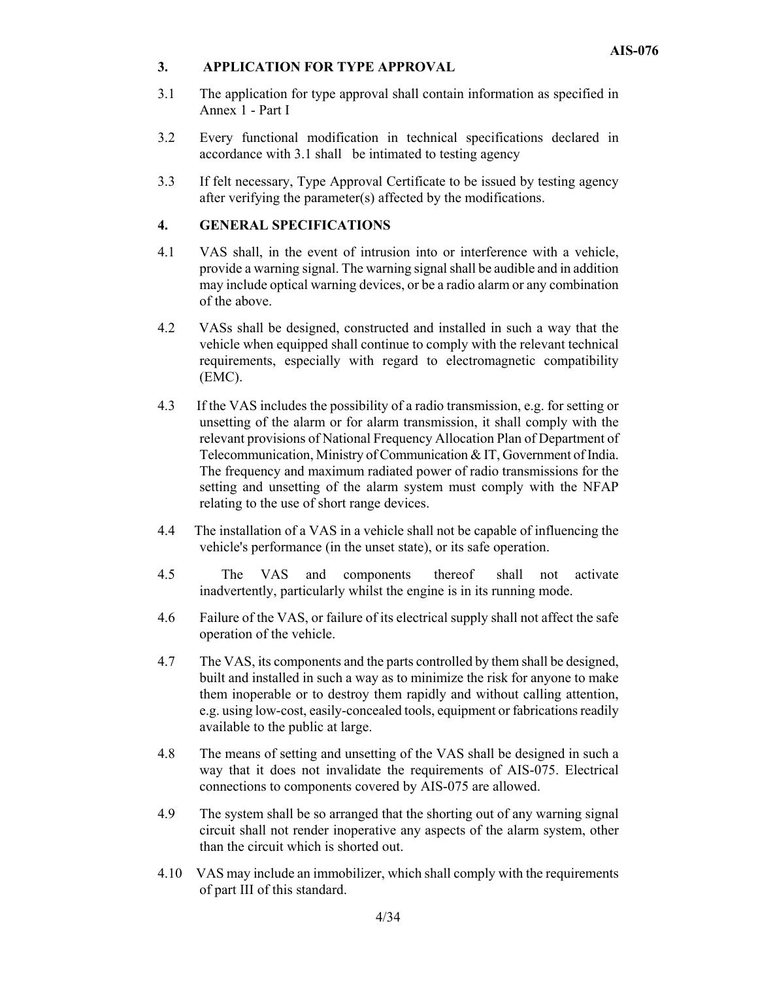#### **3. APPLICATION FOR TYPE APPROVAL**

- 3.1 The application for type approval shall contain information as specified in Annex 1 - Part I
- 3.2 Every functional modification in technical specifications declared in accordance with 3.1 shall be intimated to testing agency
- 3.3 If felt necessary, Type Approval Certificate to be issued by testing agency after verifying the parameter(s) affected by the modifications.

# **4. GENERAL SPECIFICATIONS**

- 4.1 VAS shall, in the event of intrusion into or interference with a vehicle, provide a warning signal. The warning signal shall be audible and in addition may include optical warning devices, or be a radio alarm or any combination of the above.
- 4.2 VASs shall be designed, constructed and installed in such a way that the vehicle when equipped shall continue to comply with the relevant technical requirements, especially with regard to electromagnetic compatibility (EMC).
- 4.3 If the VAS includes the possibility of a radio transmission, e.g. for setting or unsetting of the alarm or for alarm transmission, it shall comply with the relevant provisions of National Frequency Allocation Plan of Department of Telecommunication, Ministry of Communication & IT, Government of India. The frequency and maximum radiated power of radio transmissions for the setting and unsetting of the alarm system must comply with the NFAP relating to the use of short range devices.
- 4.4 The installation of a VAS in a vehicle shall not be capable of influencing the vehicle's performance (in the unset state), or its safe operation.
- 4.5 The VAS and components thereof shall not activate inadvertently, particularly whilst the engine is in its running mode.
- 4.6 Failure of the VAS, or failure of its electrical supply shall not affect the safe operation of the vehicle.
- 4.7 The VAS, its components and the parts controlled by them shall be designed, built and installed in such a way as to minimize the risk for anyone to make them inoperable or to destroy them rapidly and without calling attention, e.g. using low-cost, easily-concealed tools, equipment or fabrications readily available to the public at large.
- 4.8 The means of setting and unsetting of the VAS shall be designed in such a way that it does not invalidate the requirements of AIS-075. Electrical connections to components covered by AIS-075 are allowed.
- 4.9 The system shall be so arranged that the shorting out of any warning signal circuit shall not render inoperative any aspects of the alarm system, other than the circuit which is shorted out.
- 4.10 VAS may include an immobilizer, which shall comply with the requirements of part III of this standard.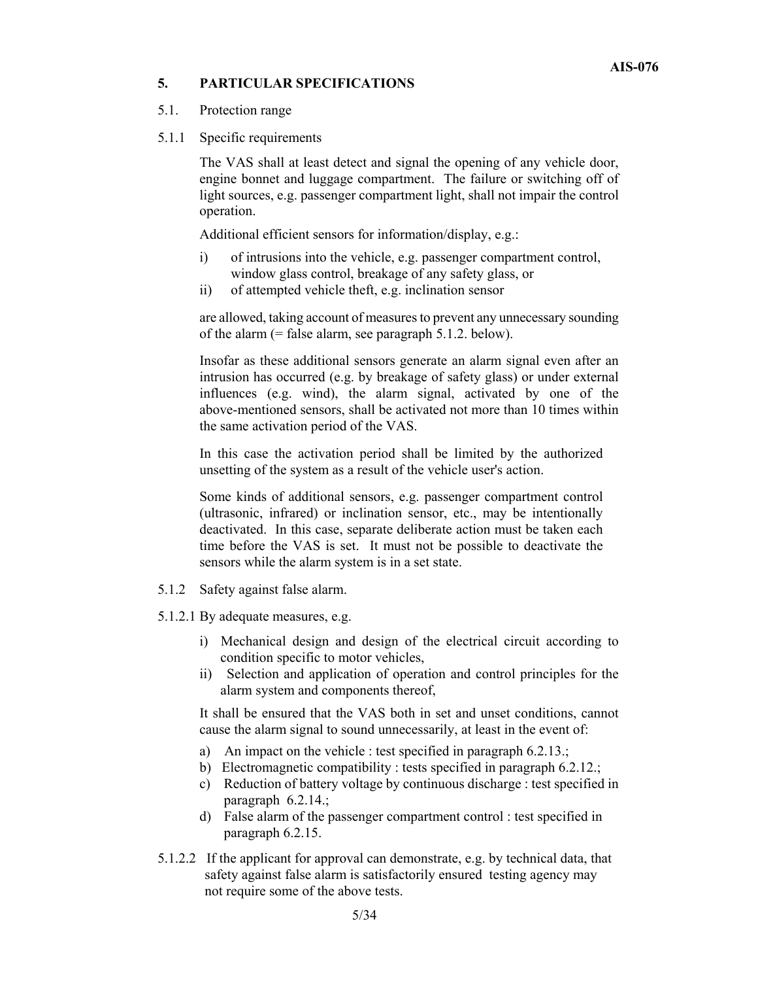#### **5. PARTICULAR SPECIFICATIONS**

#### 5.1. Protection range

5.1.1 Specific requirements

The VAS shall at least detect and signal the opening of any vehicle door, engine bonnet and luggage compartment. The failure or switching off of light sources, e.g. passenger compartment light, shall not impair the control operation.

Additional efficient sensors for information/display, e.g.:

- i) of intrusions into the vehicle, e.g. passenger compartment control, window glass control, breakage of any safety glass, or
- ii) of attempted vehicle theft, e.g. inclination sensor

are allowed, taking account of measures to prevent any unnecessary sounding of the alarm (= false alarm, see paragraph 5.1.2. below).

Insofar as these additional sensors generate an alarm signal even after an intrusion has occurred (e.g. by breakage of safety glass) or under external influences (e.g. wind), the alarm signal, activated by one of the above-mentioned sensors, shall be activated not more than 10 times within the same activation period of the VAS.

In this case the activation period shall be limited by the authorized unsetting of the system as a result of the vehicle user's action.

Some kinds of additional sensors, e.g. passenger compartment control (ultrasonic, infrared) or inclination sensor, etc., may be intentionally deactivated. In this case, separate deliberate action must be taken each time before the VAS is set. It must not be possible to deactivate the sensors while the alarm system is in a set state.

- 5.1.2 Safety against false alarm.
- 5.1.2.1 By adequate measures, e.g.
	- i) Mechanical design and design of the electrical circuit according to condition specific to motor vehicles,
	- ii) Selection and application of operation and control principles for the alarm system and components thereof,

It shall be ensured that the VAS both in set and unset conditions, cannot cause the alarm signal to sound unnecessarily, at least in the event of:

- a) An impact on the vehicle : test specified in paragraph 6.2.13.;
- b) Electromagnetic compatibility : tests specified in paragraph 6.2.12.;
- c) Reduction of battery voltage by continuous discharge : test specified in paragraph 6.2.14.;
- d) False alarm of the passenger compartment control : test specified in paragraph 6.2.15.
- 5.1.2.2 If the applicant for approval can demonstrate, e.g. by technical data, that safety against false alarm is satisfactorily ensured testing agency may not require some of the above tests.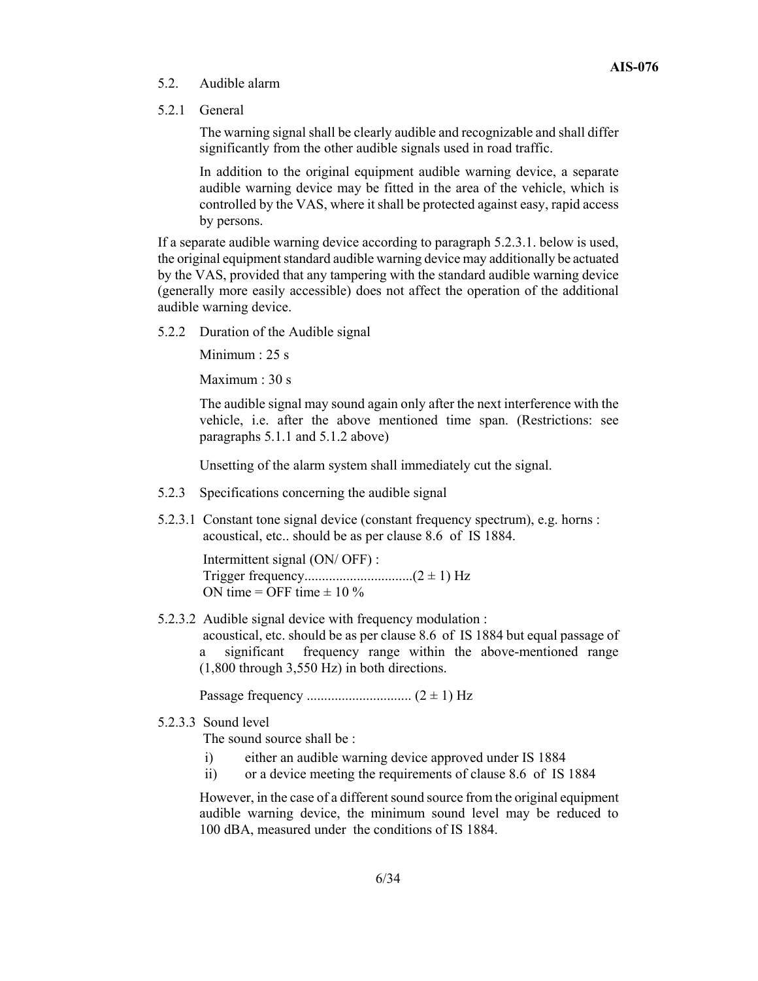#### 5.2. Audible alarm

5.2.1 General

The warning signal shall be clearly audible and recognizable and shall differ significantly from the other audible signals used in road traffic.

In addition to the original equipment audible warning device, a separate audible warning device may be fitted in the area of the vehicle, which is controlled by the VAS, where it shall be protected against easy, rapid access by persons.

If a separate audible warning device according to paragraph 5.2.3.1. below is used, the original equipment standard audible warning device may additionally be actuated by the VAS, provided that any tampering with the standard audible warning device (generally more easily accessible) does not affect the operation of the additional audible warning device.

5.2.2 Duration of the Audible signal

Minimum : 25 s

Maximum : 30 s

The audible signal may sound again only after the next interference with the vehicle, i.e. after the above mentioned time span. (Restrictions: see paragraphs 5.1.1 and 5.1.2 above)

Unsetting of the alarm system shall immediately cut the signal.

- 5.2.3 Specifications concerning the audible signal
- 5.2.3.1 Constant tone signal device (constant frequency spectrum), e.g. horns : acoustical, etc.. should be as per clause 8.6 of IS 1884.

 Intermittent signal (ON/ OFF) : Trigger frequency...............................(2 ± 1) Hz ON time = OFF time  $\pm$  10 %

5.2.3.2 Audible signal device with frequency modulation :

 acoustical, etc. should be as per clause 8.6 of IS 1884 but equal passage of a significant frequency range within the above-mentioned range (1,800 through 3,550 Hz) in both directions.

Passage frequency .............................. (2 ± 1) Hz

5.2.3.3 Sound level

The sound source shall be :

- i) either an audible warning device approved under IS 1884
- ii) or a device meeting the requirements of clause 8.6 of IS 1884

However, in the case of a different sound source from the original equipment audible warning device, the minimum sound level may be reduced to 100 dBA, measured under the conditions of IS 1884.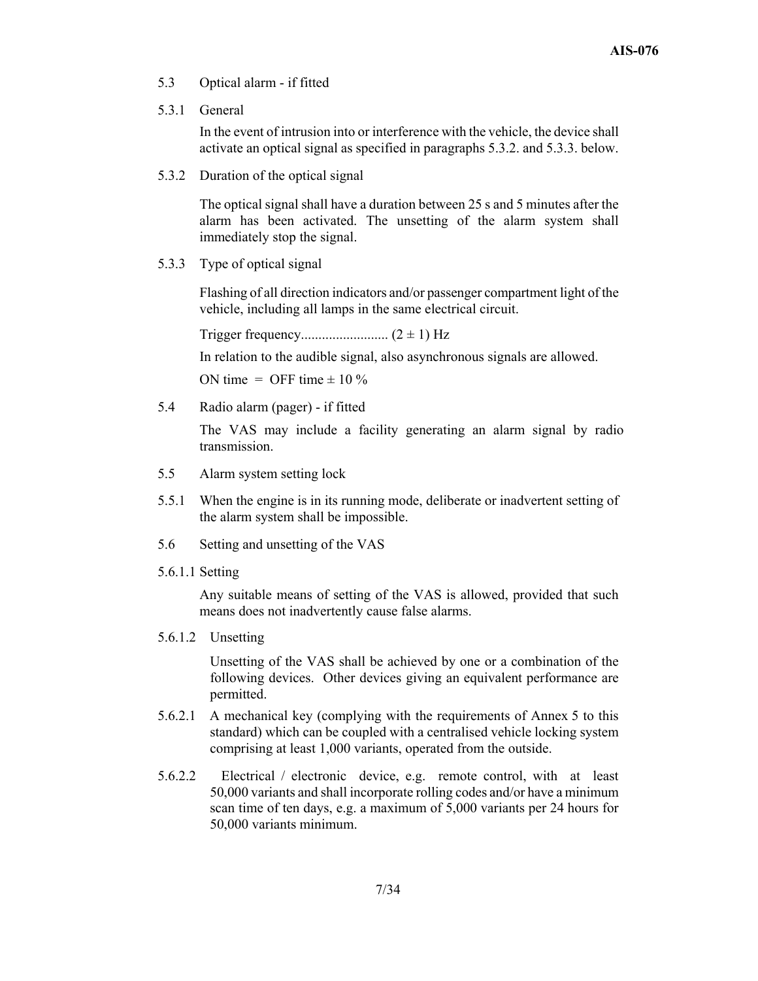- 5.3 Optical alarm if fitted
- 5.3.1 General

In the event of intrusion into or interference with the vehicle, the device shall activate an optical signal as specified in paragraphs 5.3.2. and 5.3.3. below.

5.3.2 Duration of the optical signal

The optical signal shall have a duration between 25 s and 5 minutes after the alarm has been activated. The unsetting of the alarm system shall immediately stop the signal.

5.3.3 Type of optical signal

Flashing of all direction indicators and/or passenger compartment light of the vehicle, including all lamps in the same electrical circuit.

Trigger frequency......................... (2 ± 1) Hz

In relation to the audible signal, also asynchronous signals are allowed.

ON time = OFF time  $\pm$  10 %

5.4 Radio alarm (pager) - if fitted

The VAS may include a facility generating an alarm signal by radio transmission.

- 5.5 Alarm system setting lock
- 5.5.1 When the engine is in its running mode, deliberate or inadvertent setting of the alarm system shall be impossible.
- 5.6 Setting and unsetting of the VAS
- 5.6.1.1 Setting

Any suitable means of setting of the VAS is allowed, provided that such means does not inadvertently cause false alarms.

5.6.1.2 Unsetting

Unsetting of the VAS shall be achieved by one or a combination of the following devices. Other devices giving an equivalent performance are permitted.

- 5.6.2.1 A mechanical key (complying with the requirements of Annex 5 to this standard) which can be coupled with a centralised vehicle locking system comprising at least 1,000 variants, operated from the outside.
- 5.6.2.2 Electrical / electronic device, e.g. remote control, with at least 50,000 variants and shall incorporate rolling codes and/or have a minimum scan time of ten days, e.g. a maximum of 5,000 variants per 24 hours for 50,000 variants minimum.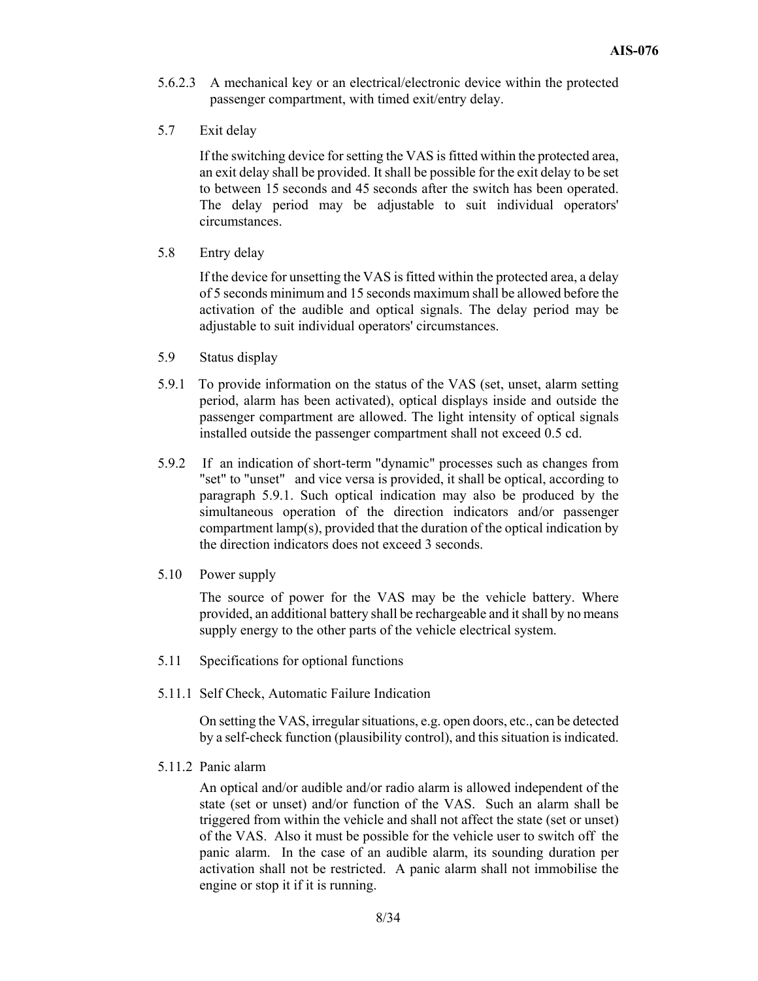- 5.6.2.3 A mechanical key or an electrical/electronic device within the protected passenger compartment, with timed exit/entry delay.
- 5.7 Exit delay

If the switching device for setting the VAS is fitted within the protected area, an exit delay shall be provided. It shall be possible for the exit delay to be set to between 15 seconds and 45 seconds after the switch has been operated. The delay period may be adjustable to suit individual operators' circumstances.

5.8 Entry delay

If the device for unsetting the VAS is fitted within the protected area, a delay of 5 seconds minimum and 15 seconds maximum shall be allowed before the activation of the audible and optical signals. The delay period may be adjustable to suit individual operators' circumstances.

- 5.9 Status display
- 5.9.1 To provide information on the status of the VAS (set, unset, alarm setting period, alarm has been activated), optical displays inside and outside the passenger compartment are allowed. The light intensity of optical signals installed outside the passenger compartment shall not exceed 0.5 cd.
- 5.9.2 If an indication of short-term "dynamic" processes such as changes from "set" to "unset" and vice versa is provided, it shall be optical, according to paragraph 5.9.1. Such optical indication may also be produced by the simultaneous operation of the direction indicators and/or passenger compartment lamp(s), provided that the duration of the optical indication by the direction indicators does not exceed 3 seconds.
- 5.10 Power supply

 The source of power for the VAS may be the vehicle battery. Where provided, an additional battery shall be rechargeable and it shall by no means supply energy to the other parts of the vehicle electrical system.

- 5.11 Specifications for optional functions
- 5.11.1 Self Check, Automatic Failure Indication

On setting the VAS, irregular situations, e.g. open doors, etc., can be detected by a self-check function (plausibility control), and this situation is indicated.

5.11.2 Panic alarm

An optical and/or audible and/or radio alarm is allowed independent of the state (set or unset) and/or function of the VAS. Such an alarm shall be triggered from within the vehicle and shall not affect the state (set or unset) of the VAS. Also it must be possible for the vehicle user to switch off the panic alarm. In the case of an audible alarm, its sounding duration per activation shall not be restricted. A panic alarm shall not immobilise the engine or stop it if it is running.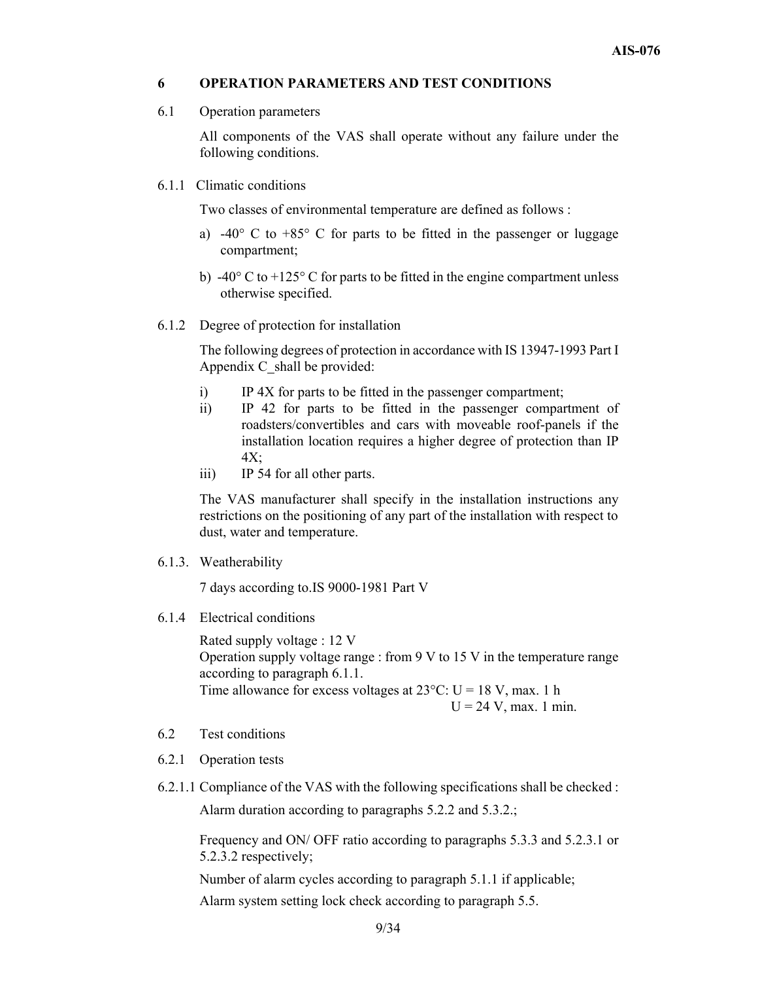#### **6 OPERATION PARAMETERS AND TEST CONDITIONS**

6.1 Operation parameters

All components of the VAS shall operate without any failure under the following conditions.

6.1.1 Climatic conditions

Two classes of environmental temperature are defined as follows :

- a) -40 $\degree$  C to +85 $\degree$  C for parts to be fitted in the passenger or luggage compartment;
- b) -40 $\degree$  C to +125 $\degree$  C for parts to be fitted in the engine compartment unless otherwise specified.
- 6.1.2 Degree of protection for installation

The following degrees of protection in accordance with IS 13947-1993 Part I Appendix C shall be provided:

- i) IP 4X for parts to be fitted in the passenger compartment;
- ii) IP 42 for parts to be fitted in the passenger compartment of roadsters/convertibles and cars with moveable roof-panels if the installation location requires a higher degree of protection than IP 4X;
- iii) IP 54 for all other parts.

The VAS manufacturer shall specify in the installation instructions any restrictions on the positioning of any part of the installation with respect to dust, water and temperature.

6.1.3. Weatherability

7 days according to.IS 9000-1981 Part V

6.1.4 Electrical conditions

Rated supply voltage : 12 V Operation supply voltage range : from  $9 \text{ V}$  to  $15 \text{ V}$  in the temperature range according to paragraph 6.1.1. Time allowance for excess voltages at  $23^{\circ}$ C: U = 18 V, max. 1 h  $U = 24$  V, max. 1 min.

- 6.2 Test conditions
- 6.2.1 Operation tests
- 6.2.1.1 Compliance of the VAS with the following specifications shall be checked :

Alarm duration according to paragraphs 5.2.2 and 5.3.2.;

Frequency and ON/ OFF ratio according to paragraphs 5.3.3 and 5.2.3.1 or 5.2.3.2 respectively;

Number of alarm cycles according to paragraph 5.1.1 if applicable;

Alarm system setting lock check according to paragraph 5.5.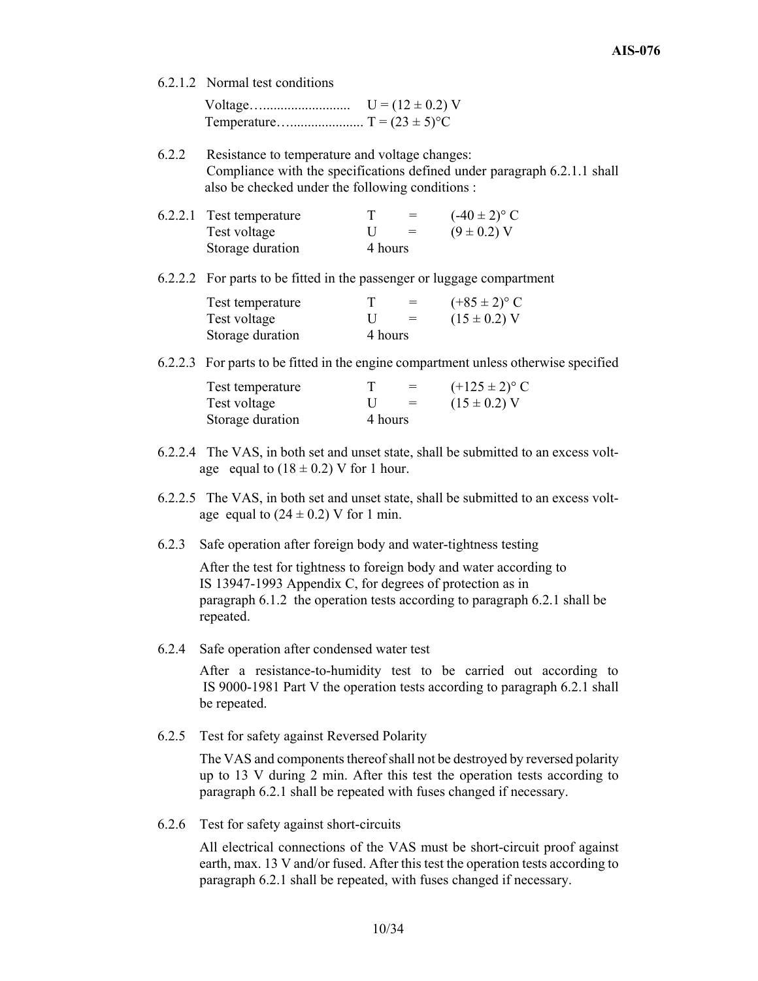6.2.1.2 Normal test conditions

| $U = (12 \pm 0.2) V$ |
|----------------------|
|                      |

6.2.2 Resistance to temperature and voltage changes: Compliance with the specifications defined under paragraph 6.2.1.1 shall also be checked under the following conditions :

| 6.2.2.1 Test temperature |         | $=$ | $(-40 \pm 2)^{\circ}$ C |
|--------------------------|---------|-----|-------------------------|
| Test voltage             | U       | $=$ | $(9 \pm 0.2)$ V         |
| Storage duration         | 4 hours |     |                         |

#### 6.2.2.2 For parts to be fitted in the passenger or luggage compartment

| Test temperature |         |     | $(+85 \pm 2)^{\circ}$ C |
|------------------|---------|-----|-------------------------|
| Test voltage     |         | $=$ | $(15 \pm 0.2)$ V        |
| Storage duration | 4 hours |     |                         |

6.2.2.3 For parts to be fitted in the engine compartment unless otherwise specified

| Test temperature |         | $=$ | $(+125 \pm 2)^{\circ}$ C |
|------------------|---------|-----|--------------------------|
| Test voltage     | $\Box$  | $=$ | $(15 \pm 0.2)$ V         |
| Storage duration | 4 hours |     |                          |

- 6.2.2.4 The VAS, in both set and unset state, shall be submitted to an excess voltage equal to  $(18 \pm 0.2)$  V for 1 hour.
- 6.2.2.5 The VAS, in both set and unset state, shall be submitted to an excess voltage equal to  $(24 \pm 0.2)$  V for 1 min.
- 6.2.3 Safe operation after foreign body and water-tightness testing

After the test for tightness to foreign body and water according to IS 13947-1993 Appendix C, for degrees of protection as in paragraph 6.1.2 the operation tests according to paragraph 6.2.1 shall be repeated.

6.2.4 Safe operation after condensed water test

After a resistance-to-humidity test to be carried out according to IS 9000-1981 Part V the operation tests according to paragraph 6.2.1 shall be repeated.

6.2.5 Test for safety against Reversed Polarity

The VAS and components thereof shall not be destroyed by reversed polarity up to 13 V during 2 min. After this test the operation tests according to paragraph 6.2.1 shall be repeated with fuses changed if necessary.

6.2.6 Test for safety against short-circuits

All electrical connections of the VAS must be short-circuit proof against earth, max. 13 V and/or fused. After this test the operation tests according to paragraph 6.2.1 shall be repeated, with fuses changed if necessary.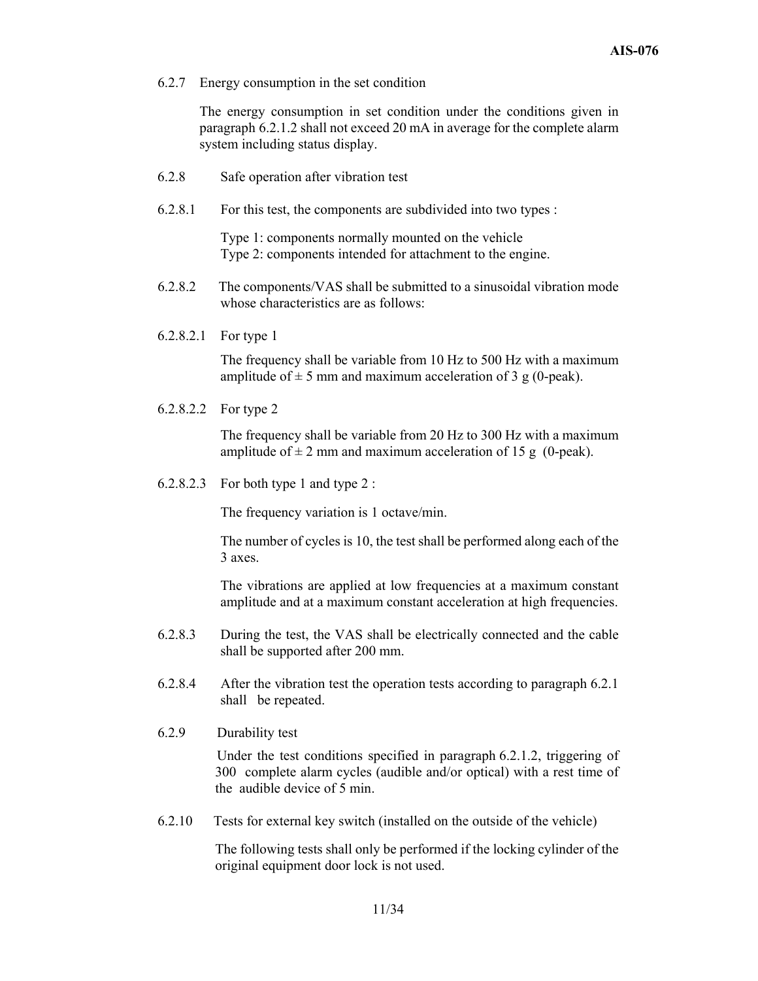6.2.7 Energy consumption in the set condition

The energy consumption in set condition under the conditions given in paragraph 6.2.1.2 shall not exceed 20 mA in average for the complete alarm system including status display.

- 6.2.8 Safe operation after vibration test
- 6.2.8.1 For this test, the components are subdivided into two types :

 Type 1: components normally mounted on the vehicle Type 2: components intended for attachment to the engine.

- 6.2.8.2 The components/VAS shall be submitted to a sinusoidal vibration mode whose characteristics are as follows:
- 6.2.8.2.1 For type 1

The frequency shall be variable from 10 Hz to 500 Hz with a maximum amplitude of  $\pm$  5 mm and maximum acceleration of 3 g (0-peak).

6.2.8.2.2 For type 2

The frequency shall be variable from 20 Hz to 300 Hz with a maximum amplitude of  $\pm 2$  mm and maximum acceleration of 15 g (0-peak).

6.2.8.2.3 For both type 1 and type 2 :

The frequency variation is 1 octave/min.

The number of cycles is 10, the test shall be performed along each of the 3 axes.

The vibrations are applied at low frequencies at a maximum constant amplitude and at a maximum constant acceleration at high frequencies.

- 6.2.8.3 During the test, the VAS shall be electrically connected and the cable shall be supported after 200 mm.
- 6.2.8.4 After the vibration test the operation tests according to paragraph 6.2.1 shall be repeated.
- 6.2.9 Durability test

 Under the test conditions specified in paragraph 6.2.1.2, triggering of 300 complete alarm cycles (audible and/or optical) with a rest time of the audible device of 5 min.

6.2.10 Tests for external key switch (installed on the outside of the vehicle)

The following tests shall only be performed if the locking cylinder of the original equipment door lock is not used.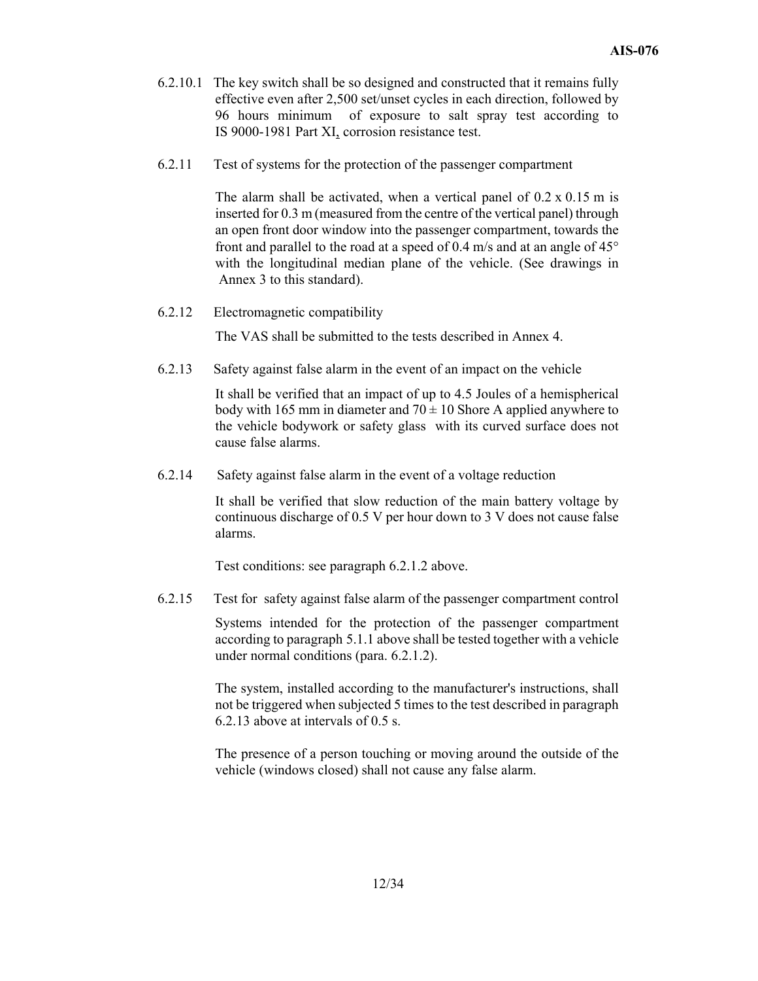- 6.2.10.1 The key switch shall be so designed and constructed that it remains fully effective even after 2,500 set/unset cycles in each direction, followed by 96 hours minimum of exposure to salt spray test according to IS 9000-1981 Part XI, corrosion resistance test.
- 6.2.11 Test of systems for the protection of the passenger compartment

The alarm shall be activated, when a vertical panel of  $0.2 \times 0.15$  m is inserted for 0.3 m (measured from the centre of the vertical panel) through an open front door window into the passenger compartment, towards the front and parallel to the road at a speed of 0.4 m/s and at an angle of 45° with the longitudinal median plane of the vehicle. (See drawings in Annex 3 to this standard).

6.2.12 Electromagnetic compatibility

The VAS shall be submitted to the tests described in Annex 4.

6.2.13 Safety against false alarm in the event of an impact on the vehicle

It shall be verified that an impact of up to 4.5 Joules of a hemispherical body with 165 mm in diameter and  $70 \pm 10$  Shore A applied anywhere to the vehicle bodywork or safety glass with its curved surface does not cause false alarms.

6.2.14 Safety against false alarm in the event of a voltage reduction

It shall be verified that slow reduction of the main battery voltage by continuous discharge of 0.5 V per hour down to 3 V does not cause false alarms.

Test conditions: see paragraph 6.2.1.2 above.

6.2.15 Test for safety against false alarm of the passenger compartment control

Systems intended for the protection of the passenger compartment according to paragraph 5.1.1 above shall be tested together with a vehicle under normal conditions (para. 6.2.1.2).

The system, installed according to the manufacturer's instructions, shall not be triggered when subjected 5 times to the test described in paragraph 6.2.13 above at intervals of 0.5 s.

The presence of a person touching or moving around the outside of the vehicle (windows closed) shall not cause any false alarm.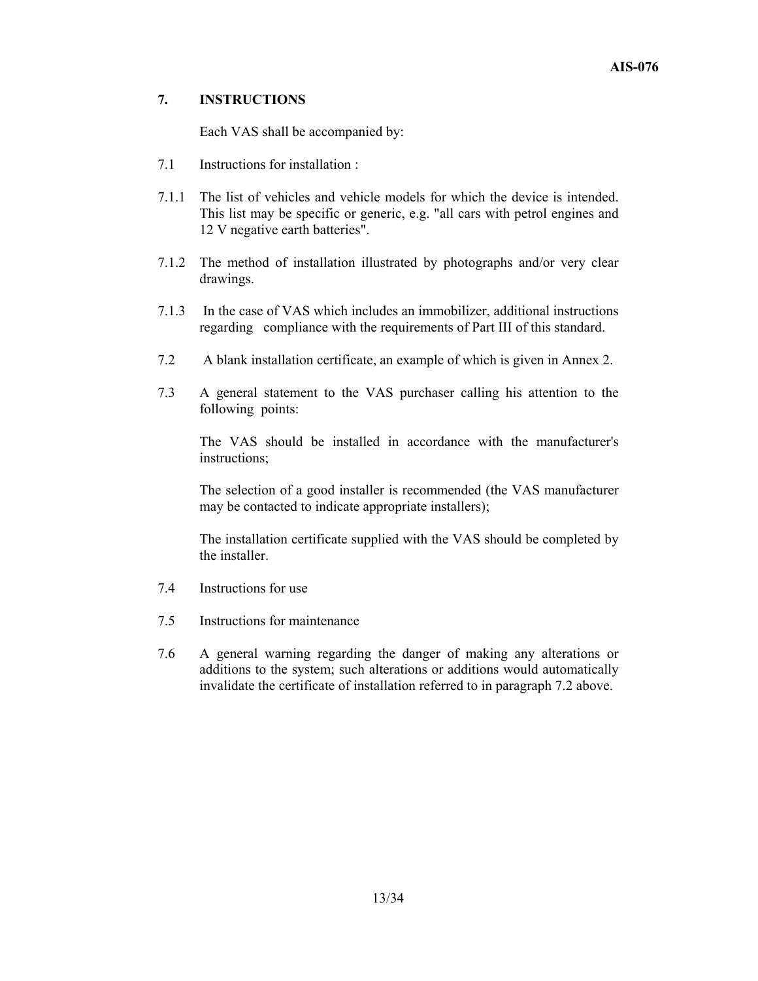#### **7. INSTRUCTIONS**

Each VAS shall be accompanied by:

- 7.1 Instructions for installation :
- 7.1.1 The list of vehicles and vehicle models for which the device is intended. This list may be specific or generic, e.g. "all cars with petrol engines and 12 V negative earth batteries".
- 7.1.2 The method of installation illustrated by photographs and/or very clear drawings.
- 7.1.3 In the case of VAS which includes an immobilizer, additional instructions regarding compliance with the requirements of Part III of this standard.
- 7.2 A blank installation certificate, an example of which is given in Annex 2.
- 7.3 A general statement to the VAS purchaser calling his attention to the following points:

The VAS should be installed in accordance with the manufacturer's instructions;

The selection of a good installer is recommended (the VAS manufacturer may be contacted to indicate appropriate installers);

The installation certificate supplied with the VAS should be completed by the installer.

- 7.4 Instructions for use
- 7.5 Instructions for maintenance
- 7.6 A general warning regarding the danger of making any alterations or additions to the system; such alterations or additions would automatically invalidate the certificate of installation referred to in paragraph 7.2 above.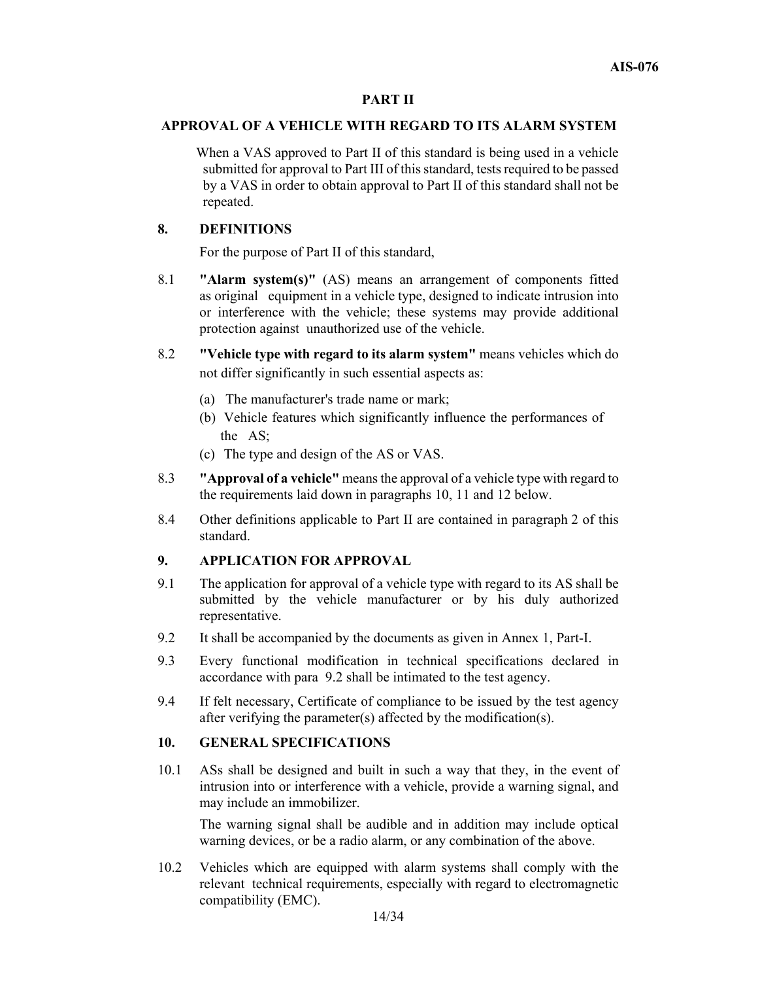#### **PART II**

#### **APPROVAL OF A VEHICLE WITH REGARD TO ITS ALARM SYSTEM**

 When a VAS approved to Part II of this standard is being used in a vehicle submitted for approval to Part III of this standard, tests required to be passed by a VAS in order to obtain approval to Part II of this standard shall not be repeated.

#### **8. DEFINITIONS**

For the purpose of Part II of this standard,

- 8.1 **"Alarm system(s)"** (AS) means an arrangement of components fitted as original equipment in a vehicle type, designed to indicate intrusion into or interference with the vehicle; these systems may provide additional protection against unauthorized use of the vehicle.
- 8.2 **"Vehicle type with regard to its alarm system"** means vehicles which do not differ significantly in such essential aspects as:
	- (a) The manufacturer's trade name or mark;
	- (b) Vehicle features which significantly influence the performances of the AS;
	- (c) The type and design of the AS or VAS.
- 8.3 **"Approval of a vehicle"** means the approval of a vehicle type with regard to the requirements laid down in paragraphs 10, 11 and 12 below.
- 8.4 Other definitions applicable to Part II are contained in paragraph 2 of this standard.

#### **9. APPLICATION FOR APPROVAL**

- 9.1 The application for approval of a vehicle type with regard to its AS shall be submitted by the vehicle manufacturer or by his duly authorized representative.
- 9.2 It shall be accompanied by the documents as given in Annex 1, Part-I.
- 9.3 Every functional modification in technical specifications declared in accordance with para 9.2 shall be intimated to the test agency.
- 9.4 If felt necessary, Certificate of compliance to be issued by the test agency after verifying the parameter(s) affected by the modification(s).

#### **10. GENERAL SPECIFICATIONS**

10.1 ASs shall be designed and built in such a way that they, in the event of intrusion into or interference with a vehicle, provide a warning signal, and may include an immobilizer.

 The warning signal shall be audible and in addition may include optical warning devices, or be a radio alarm, or any combination of the above.

10.2 Vehicles which are equipped with alarm systems shall comply with the relevant technical requirements, especially with regard to electromagnetic compatibility (EMC).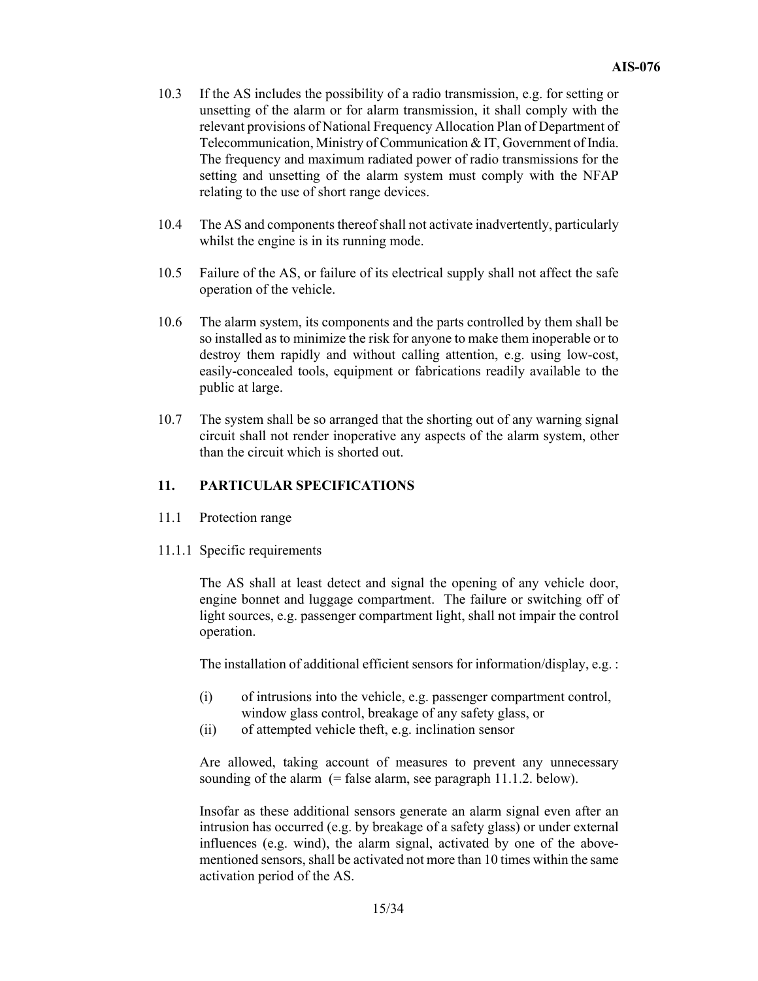- 10.3 If the AS includes the possibility of a radio transmission, e.g. for setting or unsetting of the alarm or for alarm transmission, it shall comply with the relevant provisions of National Frequency Allocation Plan of Department of Telecommunication, Ministry of Communication & IT, Government of India. The frequency and maximum radiated power of radio transmissions for the setting and unsetting of the alarm system must comply with the NFAP relating to the use of short range devices.
- 10.4 The AS and components thereof shall not activate inadvertently, particularly whilst the engine is in its running mode.
- 10.5 Failure of the AS, or failure of its electrical supply shall not affect the safe operation of the vehicle.
- 10.6 The alarm system, its components and the parts controlled by them shall be so installed as to minimize the risk for anyone to make them inoperable or to destroy them rapidly and without calling attention, e.g. using low-cost, easily-concealed tools, equipment or fabrications readily available to the public at large.
- 10.7 The system shall be so arranged that the shorting out of any warning signal circuit shall not render inoperative any aspects of the alarm system, other than the circuit which is shorted out.

#### **11. PARTICULAR SPECIFICATIONS**

- 11.1 Protection range
- 11.1.1 Specific requirements

The AS shall at least detect and signal the opening of any vehicle door, engine bonnet and luggage compartment. The failure or switching off of light sources, e.g. passenger compartment light, shall not impair the control operation.

The installation of additional efficient sensors for information/display, e.g. :

- (i) of intrusions into the vehicle, e.g. passenger compartment control, window glass control, breakage of any safety glass, or
- (ii) of attempted vehicle theft, e.g. inclination sensor

Are allowed, taking account of measures to prevent any unnecessary sounding of the alarm  $(=\text{false alarm}, \text{see paragraph 11.1.2. below}).$ 

Insofar as these additional sensors generate an alarm signal even after an intrusion has occurred (e.g. by breakage of a safety glass) or under external influences (e.g. wind), the alarm signal, activated by one of the abovementioned sensors, shall be activated not more than 10 times within the same activation period of the AS.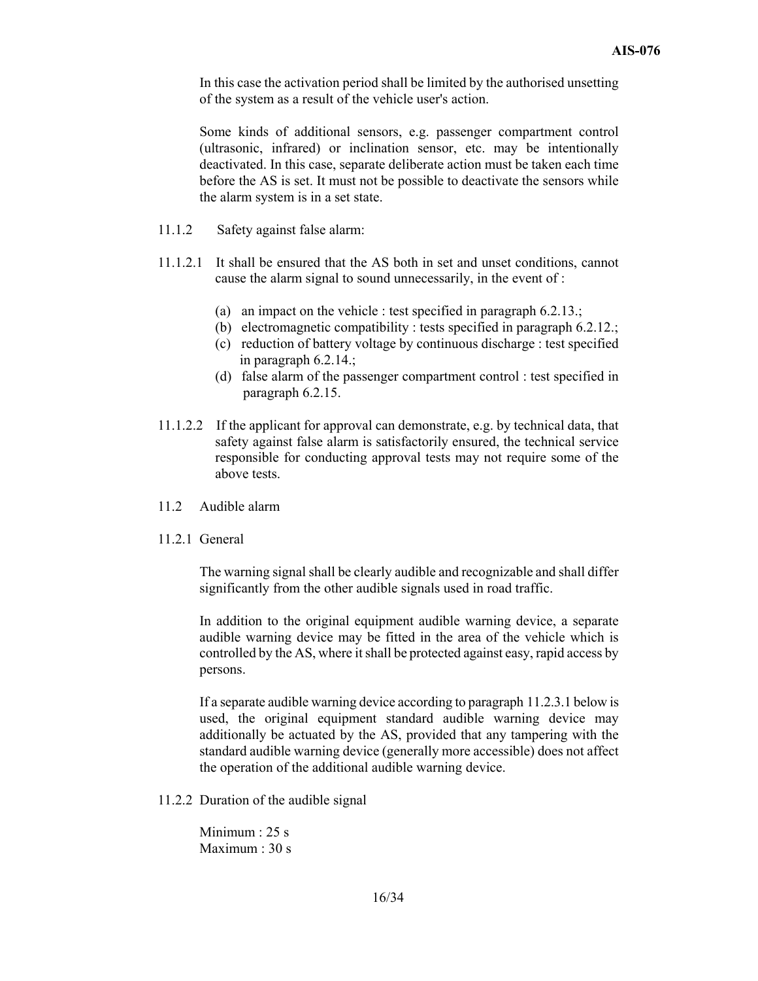In this case the activation period shall be limited by the authorised unsetting of the system as a result of the vehicle user's action.

Some kinds of additional sensors, e.g. passenger compartment control (ultrasonic, infrared) or inclination sensor, etc. may be intentionally deactivated. In this case, separate deliberate action must be taken each time before the AS is set. It must not be possible to deactivate the sensors while the alarm system is in a set state.

- 11.1.2 Safety against false alarm:
- 11.1.2.1 It shall be ensured that the AS both in set and unset conditions, cannot cause the alarm signal to sound unnecessarily, in the event of :
	- (a) an impact on the vehicle : test specified in paragraph 6.2.13.;
	- (b) electromagnetic compatibility : tests specified in paragraph 6.2.12.;
	- (c) reduction of battery voltage by continuous discharge : test specified in paragraph 6.2.14.;
	- (d) false alarm of the passenger compartment control : test specified in paragraph 6.2.15.
- 11.1.2.2 If the applicant for approval can demonstrate, e.g. by technical data, that safety against false alarm is satisfactorily ensured, the technical service responsible for conducting approval tests may not require some of the above tests.
- 11.2 Audible alarm
- 11.2.1 General

The warning signal shall be clearly audible and recognizable and shall differ significantly from the other audible signals used in road traffic.

In addition to the original equipment audible warning device, a separate audible warning device may be fitted in the area of the vehicle which is controlled by the AS, where it shall be protected against easy, rapid access by persons.

If a separate audible warning device according to paragraph 11.2.3.1 below is used, the original equipment standard audible warning device may additionally be actuated by the AS, provided that any tampering with the standard audible warning device (generally more accessible) does not affect the operation of the additional audible warning device.

11.2.2 Duration of the audible signal

Minimum : 25 s Maximum : 30 s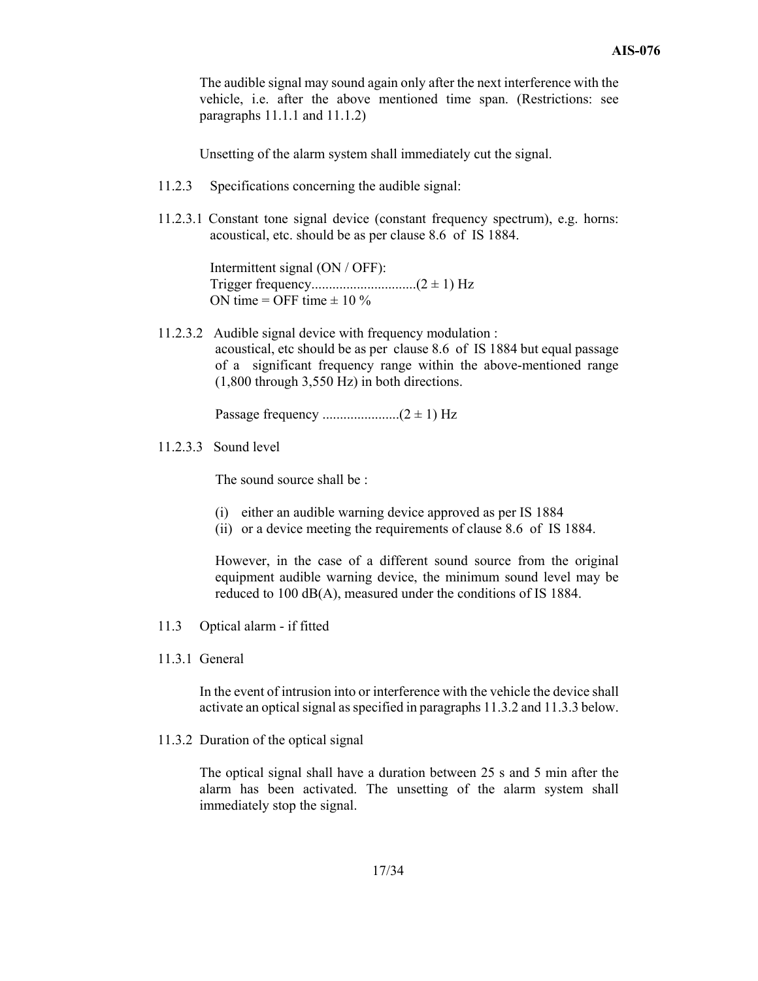The audible signal may sound again only after the next interference with the vehicle, i.e. after the above mentioned time span. (Restrictions: see paragraphs 11.1.1 and 11.1.2)

Unsetting of the alarm system shall immediately cut the signal.

- 11.2.3 Specifications concerning the audible signal:
- 11.2.3.1 Constant tone signal device (constant frequency spectrum), e.g. horns: acoustical, etc. should be as per clause 8.6 of IS 1884.

Intermittent signal (ON / OFF): Trigger frequency..............................(2 ± 1) Hz ON time = OFF time  $\pm$  10 %

11.2.3.2 Audible signal device with frequency modulation : acoustical, etc should be as perclause 8.6 of IS 1884 but equal passage of a significant frequency range within the above-mentioned range (1,800 through 3,550 Hz) in both directions.

Passage frequency ......................(2 ± 1) Hz

11.2.3.3 Sound level

The sound source shall be :

- (i) either an audible warning device approved as per IS 1884
- (ii) or a device meeting the requirements of clause 8.6 of IS 1884.

However, in the case of a different sound source from the original equipment audible warning device, the minimum sound level may be reduced to 100 dB(A), measured under the conditions of IS 1884.

- 11.3 Optical alarm if fitted
- 11.3.1 General

In the event of intrusion into or interference with the vehicle the device shall activate an optical signal as specified in paragraphs 11.3.2 and 11.3.3 below.

11.3.2 Duration of the optical signal

The optical signal shall have a duration between 25 s and 5 min after the alarm has been activated. The unsetting of the alarm system shall immediately stop the signal.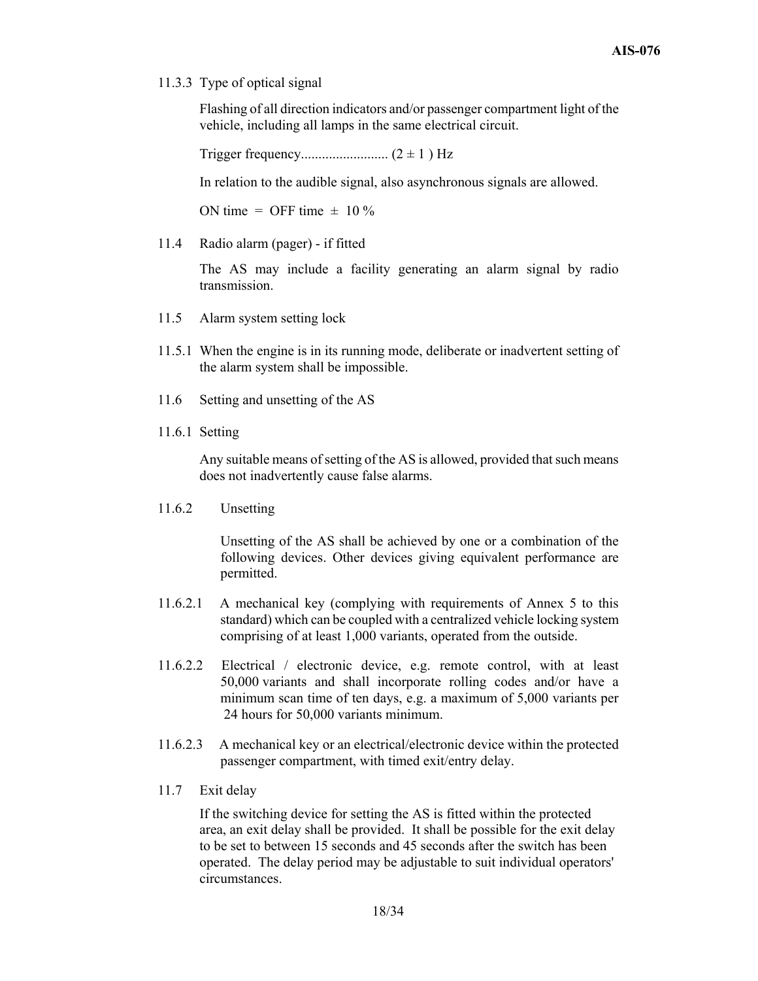11.3.3 Type of optical signal

Flashing of all direction indicators and/or passenger compartment light of the vehicle, including all lamps in the same electrical circuit.

Trigger frequency......................... (2 ± 1 ) Hz

In relation to the audible signal, also asynchronous signals are allowed.

ON time = OFF time  $\pm$  10 %

11.4 Radio alarm (pager) - if fitted

The AS may include a facility generating an alarm signal by radio transmission.

- 11.5 Alarm system setting lock
- 11.5.1 When the engine is in its running mode, deliberate or inadvertent setting of the alarm system shall be impossible.
- 11.6 Setting and unsetting of the AS
- 11.6.1 Setting

Any suitable means of setting of the AS is allowed, provided that such means does not inadvertently cause false alarms.

11.6.2 Unsetting

Unsetting of the AS shall be achieved by one or a combination of the following devices. Other devices giving equivalent performance are permitted.

- 11.6.2.1 A mechanical key (complying with requirements of Annex 5 to this standard) which can be coupled with a centralized vehicle locking system comprising of at least 1,000 variants, operated from the outside.
- 11.6.2.2 Electrical / electronic device, e.g. remote control, with at least 50,000 variants and shall incorporate rolling codes and/or have a minimum scan time of ten days, e.g. a maximum of 5,000 variants per 24 hours for 50,000 variants minimum.
- 11.6.2.3 A mechanical key or an electrical/electronic device within the protected passenger compartment, with timed exit/entry delay.
- 11.7 Exit delay

If the switching device for setting the AS is fitted within the protected area, an exit delay shall be provided. It shall be possible for the exit delay to be set to between 15 seconds and 45 seconds after the switch has been operated. The delay period may be adjustable to suit individual operators' circumstances.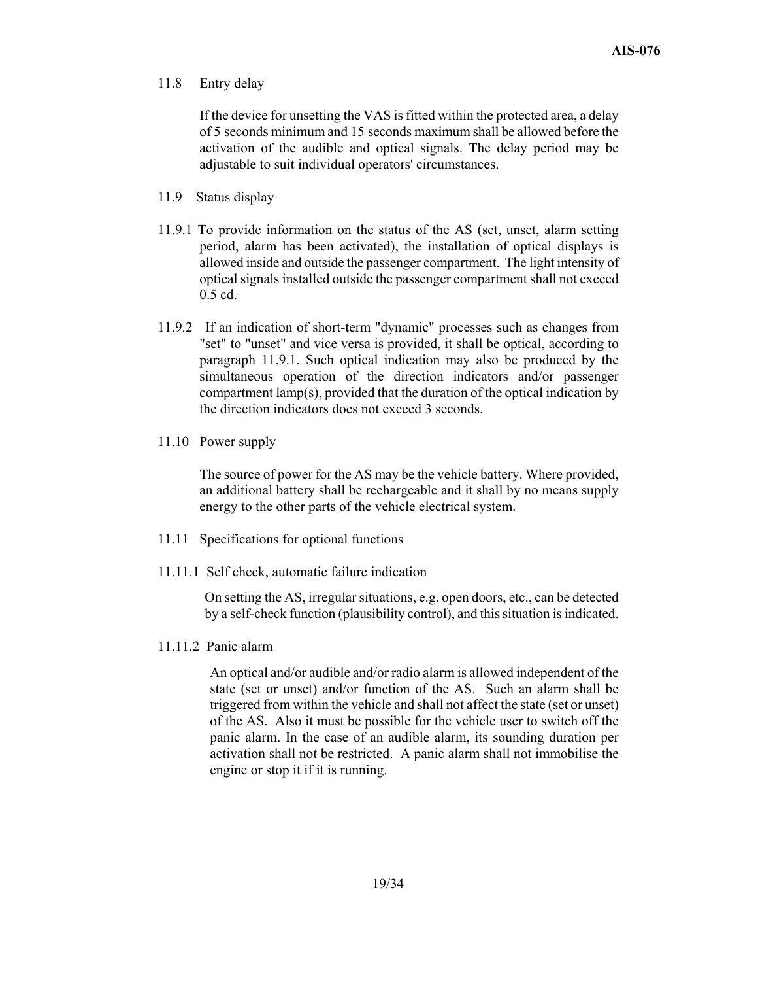#### 11.8 Entry delay

If the device for unsetting the VAS is fitted within the protected area, a delay of 5 seconds minimum and 15 seconds maximum shall be allowed before the activation of the audible and optical signals. The delay period may be adjustable to suit individual operators' circumstances.

- 11.9 Status display
- 11.9.1 To provide information on the status of the AS (set, unset, alarm setting period, alarm has been activated), the installation of optical displays is allowed inside and outside the passenger compartment. The light intensity of optical signals installed outside the passenger compartment shall not exceed 0.5 cd.
- 11.9.2 If an indication of short-term "dynamic" processes such as changes from "set" to "unset" and vice versa is provided, it shall be optical, according to paragraph 11.9.1. Such optical indication may also be produced by the simultaneous operation of the direction indicators and/or passenger compartment lamp(s), provided that the duration of the optical indication by the direction indicators does not exceed 3 seconds.
- 11.10 Power supply

The source of power for the AS may be the vehicle battery. Where provided, an additional battery shall be rechargeable and it shall by no means supply energy to the other parts of the vehicle electrical system.

- 11.11 Specifications for optional functions
- 11.11.1 Self check, automatic failure indication

On setting the AS, irregular situations, e.g. open doors, etc., can be detected by a self-check function (plausibility control), and this situation is indicated.

11.11.2 Panic alarm

An optical and/or audible and/or radio alarm is allowed independent of the state (set or unset) and/or function of the AS. Such an alarm shall be triggered from within the vehicle and shall not affect the state (set or unset) of the AS. Also it must be possible for the vehicle user to switch off the panic alarm. In the case of an audible alarm, its sounding duration per activation shall not be restricted. A panic alarm shall not immobilise the engine or stop it if it is running.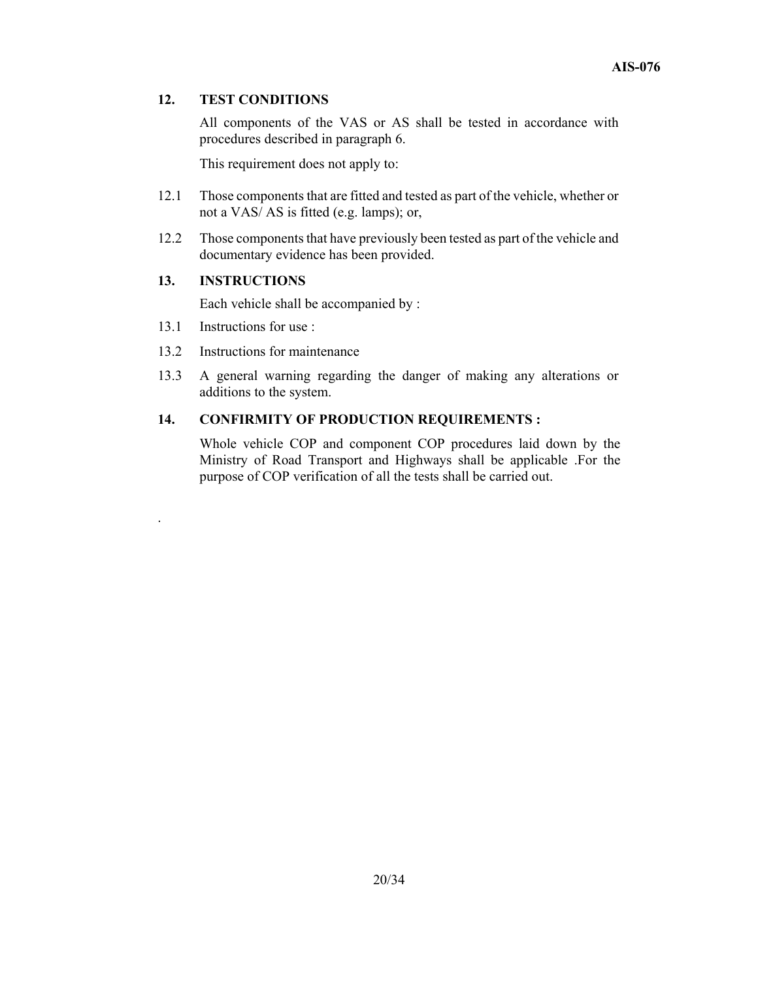#### **12. TEST CONDITIONS**

All components of the VAS or AS shall be tested in accordance with procedures described in paragraph 6.

This requirement does not apply to:

- 12.1 Those components that are fitted and tested as part of the vehicle, whether or not a VAS/ AS is fitted (e.g. lamps); or,
- 12.2 Those components that have previously been tested as part of the vehicle and documentary evidence has been provided.

#### **13. INSTRUCTIONS**

Each vehicle shall be accompanied by :

13.1 Instructions for use :

.

- 13.2 Instructions for maintenance
- 13.3 A general warning regarding the danger of making any alterations or additions to the system.

### **14. CONFIRMITY OF PRODUCTION REQUIREMENTS :**

 Whole vehicle COP and component COP procedures laid down by the Ministry of Road Transport and Highways shall be applicable .For the purpose of COP verification of all the tests shall be carried out.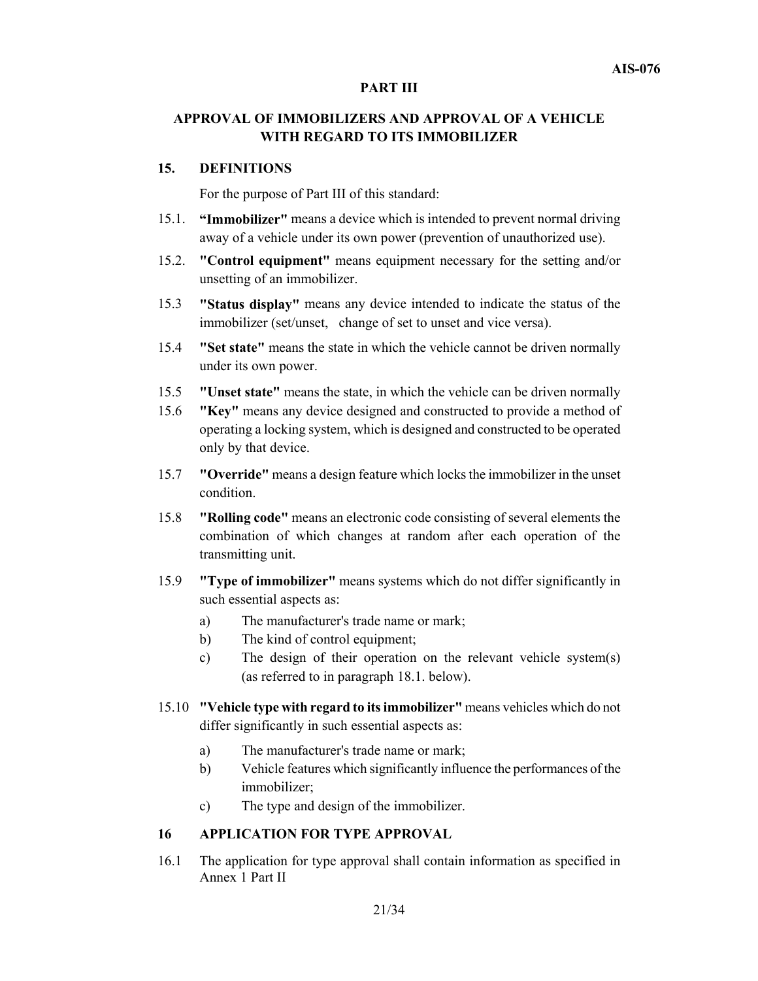#### **PART III**

# **APPROVAL OF IMMOBILIZERS AND APPROVAL OF A VEHICLE WITH REGARD TO ITS IMMOBILIZER**

#### **15. DEFINITIONS**

For the purpose of Part III of this standard:

- 15.1. **"Immobilizer"** means a device which is intended to prevent normal driving away of a vehicle under its own power (prevention of unauthorized use).
- 15.2. **"Control equipment"** means equipment necessary for the setting and/or unsetting of an immobilizer.
- 15.3 **"Status display"** means any device intended to indicate the status of the immobilizer (set/unset, change of set to unset and vice versa).
- 15.4 **"Set state"** means the state in which the vehicle cannot be driven normally under its own power.
- 15.5 **"Unset state"** means the state, in which the vehicle can be driven normally
- 15.6 **"Key"** means any device designed and constructed to provide a method of operating a locking system, which is designed and constructed to be operated only by that device.
- 15.7 **"Override"** means a design feature which locks the immobilizer in the unset condition.
- 15.8 **"Rolling code"** means an electronic code consisting of several elements the combination of which changes at random after each operation of the transmitting unit.
- 15.9 **"Type of immobilizer"** means systems which do not differ significantly in such essential aspects as:
	- a) The manufacturer's trade name or mark;
	- b) The kind of control equipment;
	- c) The design of their operation on the relevant vehicle system(s) (as referred to in paragraph 18.1. below).
- 15.10 **"Vehicle type with regard to its immobilizer"** means vehicles which do not differ significantly in such essential aspects as:
	- a) The manufacturer's trade name or mark;
	- b) Vehicle features which significantly influence the performances of the immobilizer;
	- c) The type and design of the immobilizer.

#### **16 APPLICATION FOR TYPE APPROVAL**

16.1 The application for type approval shall contain information as specified in Annex 1 Part II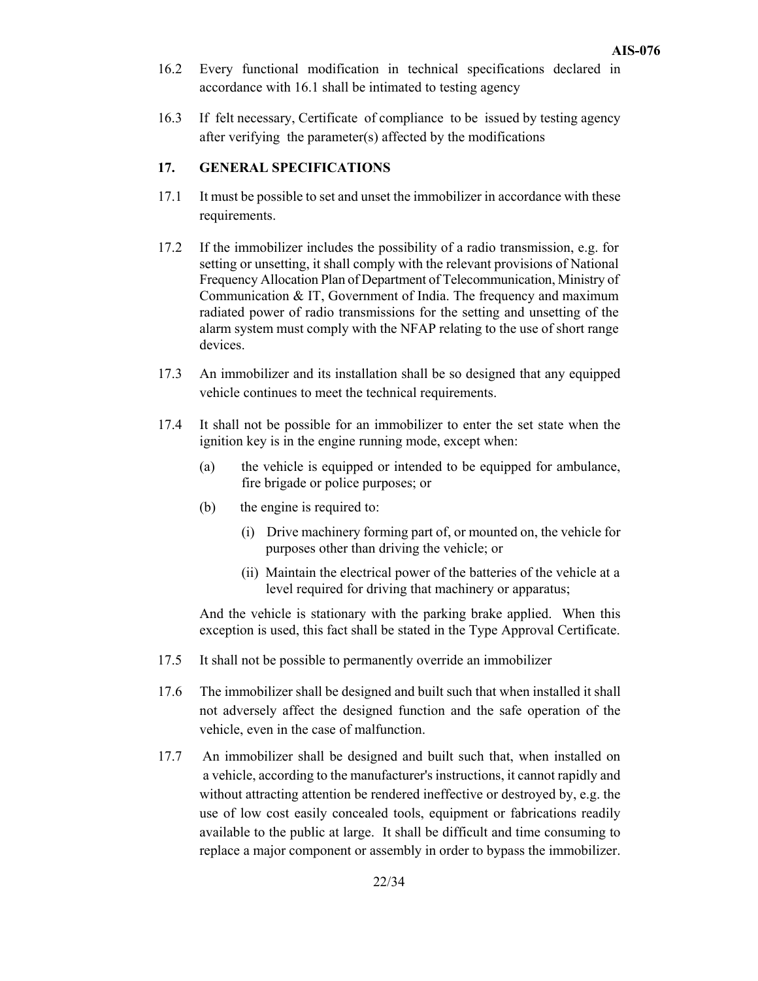- 16.2 Every functional modification in technical specifications declared in accordance with 16.1 shall be intimated to testing agency
- 16.3 If felt necessary, Certificate of compliance to be issued by testing agency after verifying the parameter(s) affected by the modifications

#### **17. GENERAL SPECIFICATIONS**

- 17.1 It must be possible to set and unset the immobilizer in accordance with these requirements.
- 17.2 If the immobilizer includes the possibility of a radio transmission, e.g. for setting or unsetting, it shall comply with the relevant provisions of National Frequency Allocation Plan of Department of Telecommunication, Ministry of Communication & IT, Government of India. The frequency and maximum radiated power of radio transmissions for the setting and unsetting of the alarm system must comply with the NFAP relating to the use of short range devices.
- 17.3 An immobilizer and its installation shall be so designed that any equipped vehicle continues to meet the technical requirements.
- 17.4 It shall not be possible for an immobilizer to enter the set state when the ignition key is in the engine running mode, except when:
	- (a) the vehicle is equipped or intended to be equipped for ambulance, fire brigade or police purposes; or
	- (b) the engine is required to:
		- (i) Drive machinery forming part of, or mounted on, the vehicle for purposes other than driving the vehicle; or
		- (ii) Maintain the electrical power of the batteries of the vehicle at a level required for driving that machinery or apparatus;

And the vehicle is stationary with the parking brake applied. When this exception is used, this fact shall be stated in the Type Approval Certificate.

- 17.5 It shall not be possible to permanently override an immobilizer
- 17.6 The immobilizer shall be designed and built such that when installed it shall not adversely affect the designed function and the safe operation of the vehicle, even in the case of malfunction.
- 17.7 An immobilizer shall be designed and built such that, when installed on a vehicle, according to the manufacturer's instructions, it cannot rapidly and without attracting attention be rendered ineffective or destroyed by, e.g. the use of low cost easily concealed tools, equipment or fabrications readily available to the public at large. It shall be difficult and time consuming to replace a major component or assembly in order to bypass the immobilizer.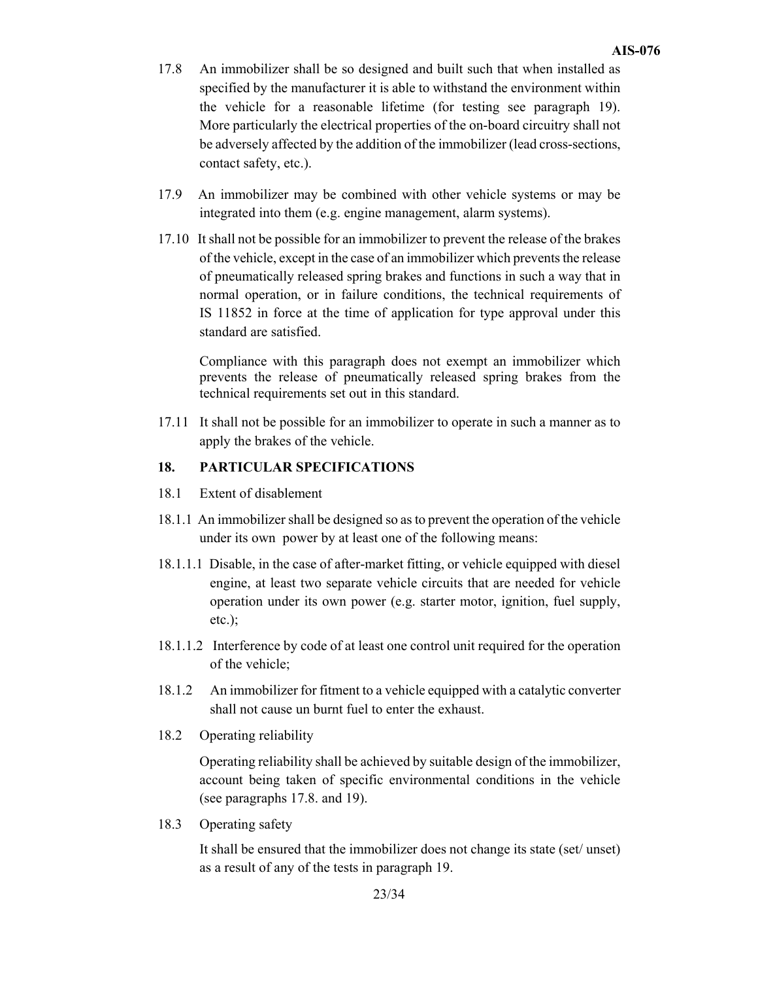- 17.8 An immobilizer shall be so designed and built such that when installed as specified by the manufacturer it is able to withstand the environment within the vehicle for a reasonable lifetime (for testing see paragraph 19). More particularly the electrical properties of the on-board circuitry shall not be adversely affected by the addition of the immobilizer (lead cross-sections, contact safety, etc.).
- 17.9 An immobilizer may be combined with other vehicle systems or may be integrated into them (e.g. engine management, alarm systems).
- 17.10 It shall not be possible for an immobilizer to prevent the release of the brakes of the vehicle, except in the case of an immobilizer which prevents the release of pneumatically released spring brakes and functions in such a way that in normal operation, or in failure conditions, the technical requirements of IS 11852 in force at the time of application for type approval under this standard are satisfied.

Compliance with this paragraph does not exempt an immobilizer which prevents the release of pneumatically released spring brakes from the technical requirements set out in this standard.

17.11 It shall not be possible for an immobilizer to operate in such a manner as to apply the brakes of the vehicle.

#### **18. PARTICULAR SPECIFICATIONS**

- 18.1 Extent of disablement
- 18.1.1 An immobilizer shall be designed so as to prevent the operation of the vehicle under its own power by at least one of the following means:
- 18.1.1.1 Disable, in the case of after-market fitting, or vehicle equipped with diesel engine, at least two separate vehicle circuits that are needed for vehicle operation under its own power (e.g. starter motor, ignition, fuel supply, etc.);
- 18.1.1.2 Interference by code of at least one control unit required for the operation of the vehicle;
- 18.1.2 An immobilizer for fitment to a vehicle equipped with a catalytic converter shall not cause un burnt fuel to enter the exhaust.
- 18.2 Operating reliability

Operating reliability shall be achieved by suitable design of the immobilizer, account being taken of specific environmental conditions in the vehicle (see paragraphs 17.8. and 19).

18.3 Operating safety

It shall be ensured that the immobilizer does not change its state (set/ unset) as a result of any of the tests in paragraph 19.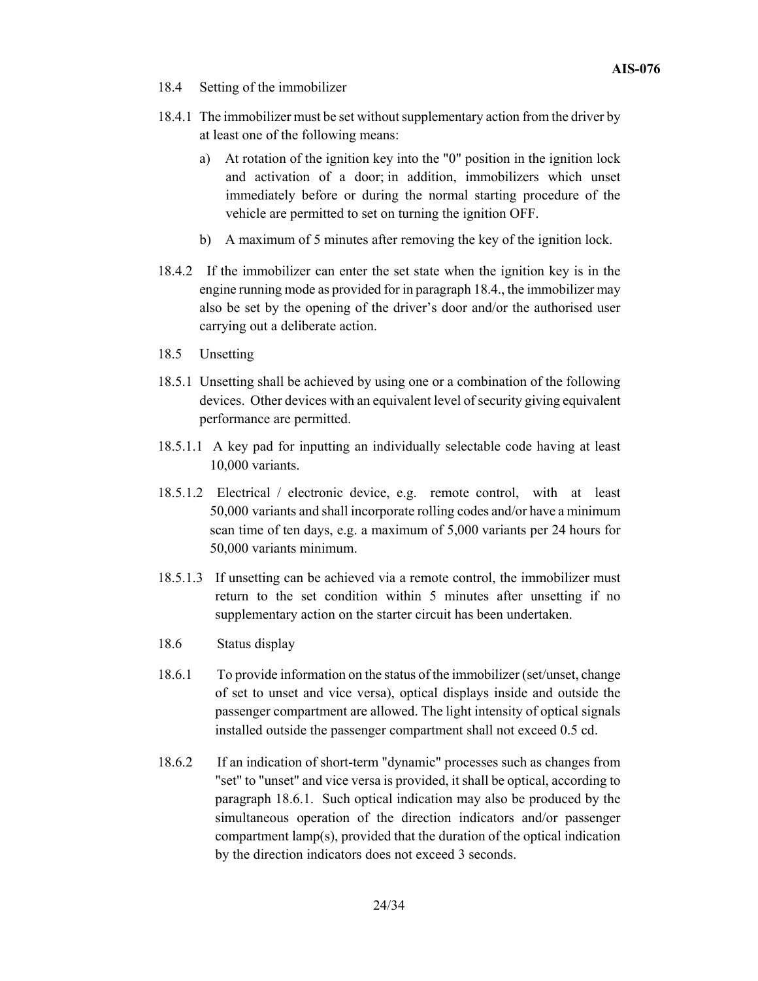- 18.4 Setting of the immobilizer
- 18.4.1 The immobilizer must be set without supplementary action from the driver by at least one of the following means:
	- a) At rotation of the ignition key into the "0" position in the ignition lock and activation of a door; in addition, immobilizers which unset immediately before or during the normal starting procedure of the vehicle are permitted to set on turning the ignition OFF.
	- b) A maximum of 5 minutes after removing the key of the ignition lock.
- 18.4.2 If the immobilizer can enter the set state when the ignition key is in the engine running mode as provided for in paragraph 18.4., the immobilizer may also be set by the opening of the driver's door and/or the authorised user carrying out a deliberate action.
- 18.5 Unsetting
- 18.5.1 Unsetting shall be achieved by using one or a combination of the following devices. Other devices with an equivalent level of security giving equivalent performance are permitted.
- 18.5.1.1 A key pad for inputting an individually selectable code having at least 10,000 variants.
- 18.5.1.2 Electrical / electronic device, e.g. remote control, with at least 50,000 variants and shall incorporate rolling codes and/or have a minimum scan time of ten days, e.g. a maximum of 5,000 variants per 24 hours for 50,000 variants minimum.
- 18.5.1.3 If unsetting can be achieved via a remote control, the immobilizer must return to the set condition within 5 minutes after unsetting if no supplementary action on the starter circuit has been undertaken.
- 18.6 Status display
- 18.6.1 To provide information on the status of the immobilizer (set/unset, change of set to unset and vice versa), optical displays inside and outside the passenger compartment are allowed. The light intensity of optical signals installed outside the passenger compartment shall not exceed 0.5 cd.
- 18.6.2 If an indication of short-term "dynamic" processes such as changes from "set" to "unset" and vice versa is provided, it shall be optical, according to paragraph 18.6.1. Such optical indication may also be produced by the simultaneous operation of the direction indicators and/or passenger compartment lamp(s), provided that the duration of the optical indication by the direction indicators does not exceed 3 seconds.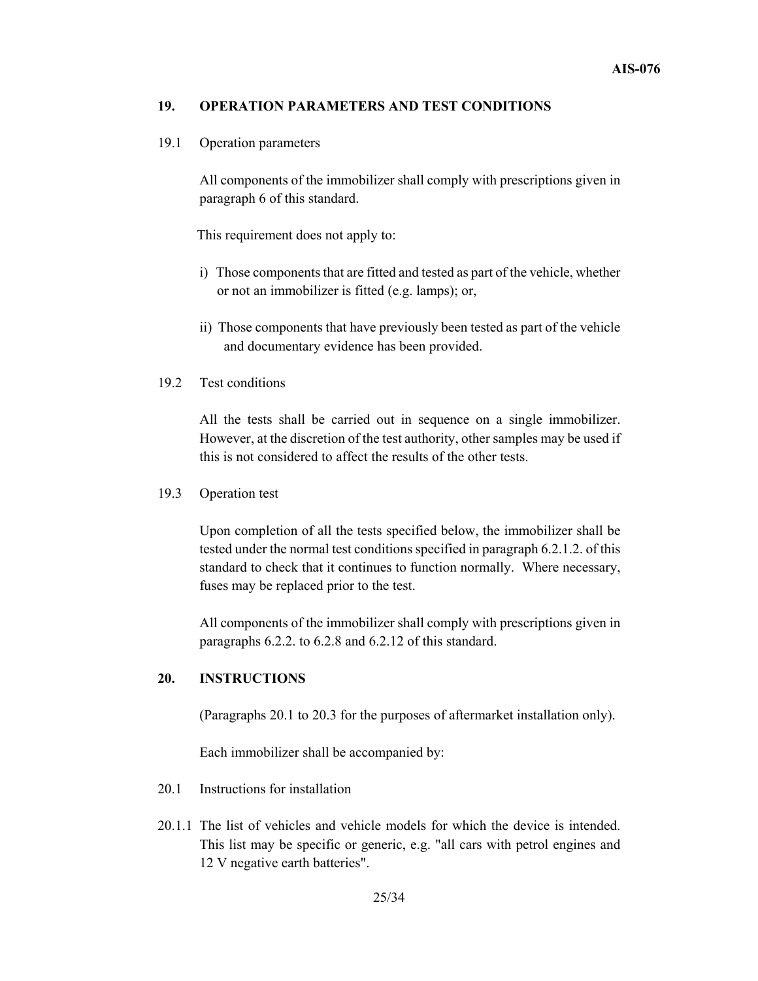#### **19. OPERATION PARAMETERS AND TEST CONDITIONS**

#### 19.1 Operation parameters

All components of the immobilizer shall comply with prescriptions given in paragraph 6 of this standard.

This requirement does not apply to:

- i) Those components that are fitted and tested as part of the vehicle, whether or not an immobilizer is fitted (e.g. lamps); or,
- ii) Those components that have previously been tested as part of the vehicle and documentary evidence has been provided.

#### 19.2 Test conditions

All the tests shall be carried out in sequence on a single immobilizer. However, at the discretion of the test authority, other samples may be used if this is not considered to affect the results of the other tests.

#### 19.3 Operation test

Upon completion of all the tests specified below, the immobilizer shall be tested under the normal test conditions specified in paragraph 6.2.1.2. of this standard to check that it continues to function normally. Where necessary, fuses may be replaced prior to the test.

All components of the immobilizer shall comply with prescriptions given in paragraphs 6.2.2. to 6.2.8 and 6.2.12 of this standard.

#### **20. INSTRUCTIONS**

(Paragraphs 20.1 to 20.3 for the purposes of aftermarket installation only).

Each immobilizer shall be accompanied by:

- 20.1 Instructions for installation
- 20.1.1 The list of vehicles and vehicle models for which the device is intended. This list may be specific or generic, e.g. "all cars with petrol engines and 12 V negative earth batteries".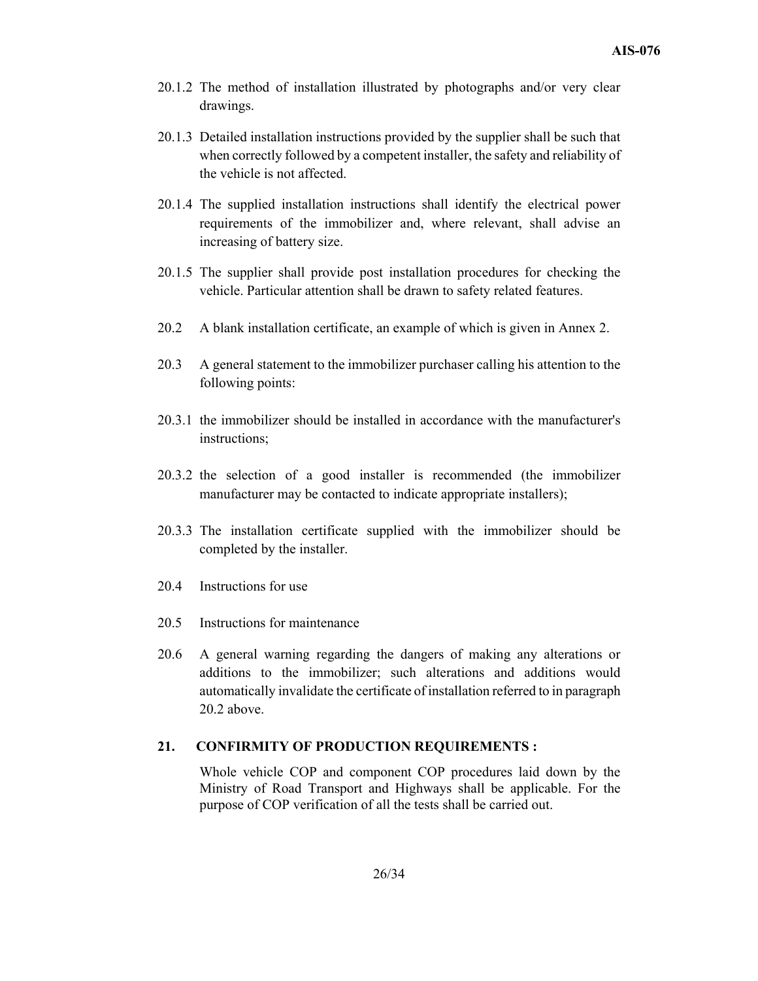- 20.1.2 The method of installation illustrated by photographs and/or very clear drawings.
- 20.1.3 Detailed installation instructions provided by the supplier shall be such that when correctly followed by a competent installer, the safety and reliability of the vehicle is not affected.
- 20.1.4 The supplied installation instructions shall identify the electrical power requirements of the immobilizer and, where relevant, shall advise an increasing of battery size.
- 20.1.5 The supplier shall provide post installation procedures for checking the vehicle. Particular attention shall be drawn to safety related features.
- 20.2 A blank installation certificate, an example of which is given in Annex 2.
- 20.3 A general statement to the immobilizer purchaser calling his attention to the following points:
- 20.3.1 the immobilizer should be installed in accordance with the manufacturer's instructions;
- 20.3.2 the selection of a good installer is recommended (the immobilizer manufacturer may be contacted to indicate appropriate installers);
- 20.3.3 The installation certificate supplied with the immobilizer should be completed by the installer.
- 20.4 Instructions for use
- 20.5 Instructions for maintenance
- 20.6 A general warning regarding the dangers of making any alterations or additions to the immobilizer; such alterations and additions would automatically invalidate the certificate of installation referred to in paragraph 20.2 above.

#### **21. CONFIRMITY OF PRODUCTION REQUIREMENTS :**

Whole vehicle COP and component COP procedures laid down by the Ministry of Road Transport and Highways shall be applicable. For the purpose of COP verification of all the tests shall be carried out.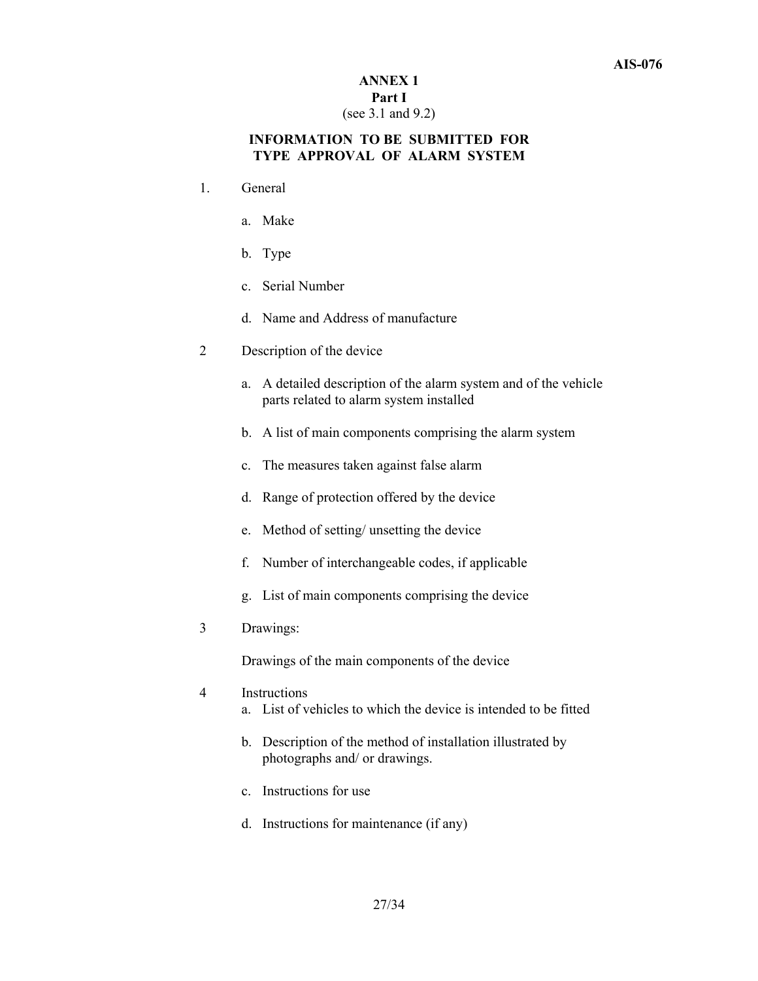#### **ANNEX 1 Part I**  (see 3.1 and 9.2)

# **INFORMATION TO BE SUBMITTED FOR TYPE APPROVAL OF ALARM SYSTEM**

- 1. General
	- a. Make
	- b. Type
	- c. Serial Number
	- d. Name and Address of manufacture
- 2 Description of the device
	- a. A detailed description of the alarm system and of the vehicle parts related to alarm system installed
	- b. A list of main components comprising the alarm system
	- c. The measures taken against false alarm
	- d. Range of protection offered by the device
	- e. Method of setting/ unsetting the device
	- f. Number of interchangeable codes, if applicable
	- g. List of main components comprising the device
- 3 Drawings:

Drawings of the main components of the device

- 4 Instructions
	- a. List of vehicles to which the device is intended to be fitted
	- b. Description of the method of installation illustrated by photographs and/ or drawings.
	- c. Instructions for use
	- d. Instructions for maintenance (if any)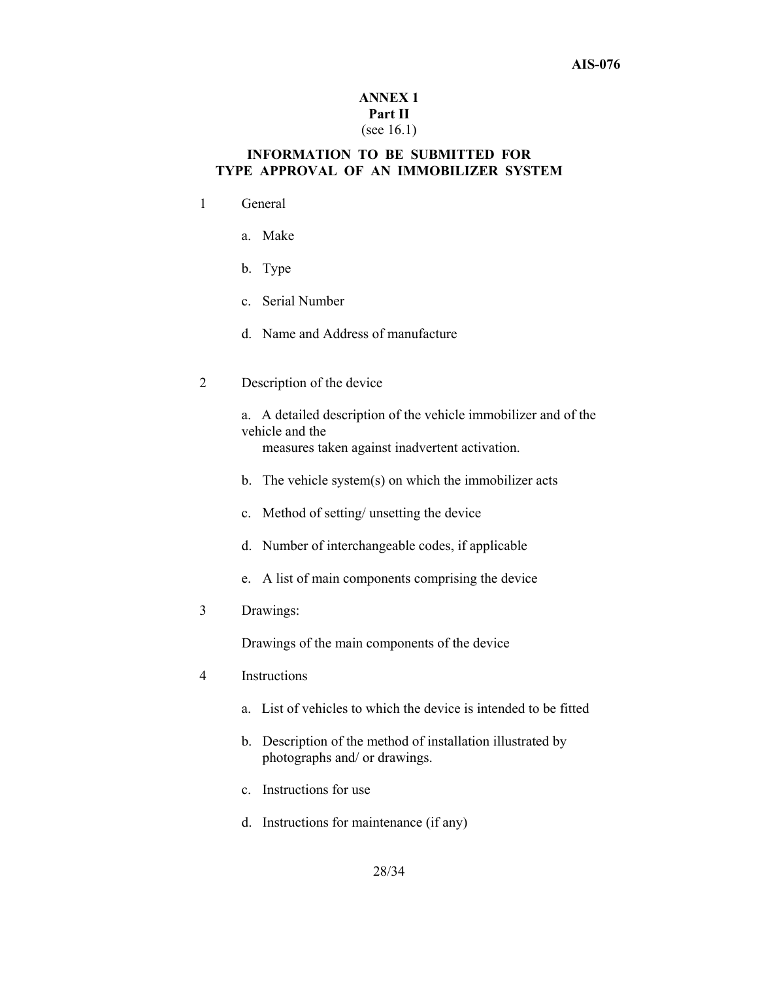#### **AIS-076**

## **ANNEX 1 Part II**  (see 16.1)

### **INFORMATION TO BE SUBMITTED FOR TYPE APPROVAL OF AN IMMOBILIZER SYSTEM**

- 1 General
	- a. Make
	- b. Type
	- c. Serial Number
	- d. Name and Address of manufacture
- 2 Description of the device
	- a. A detailed description of the vehicle immobilizer and of the vehicle and the

measures taken against inadvertent activation.

- b. The vehicle system(s) on which the immobilizer acts
- c. Method of setting/ unsetting the device
- d. Number of interchangeable codes, if applicable
- e. A list of main components comprising the device
- 3 Drawings:

Drawings of the main components of the device

- 4 Instructions
	- a. List of vehicles to which the device is intended to be fitted
	- b. Description of the method of installation illustrated by photographs and/ or drawings.
	- c. Instructions for use
	- d. Instructions for maintenance (if any)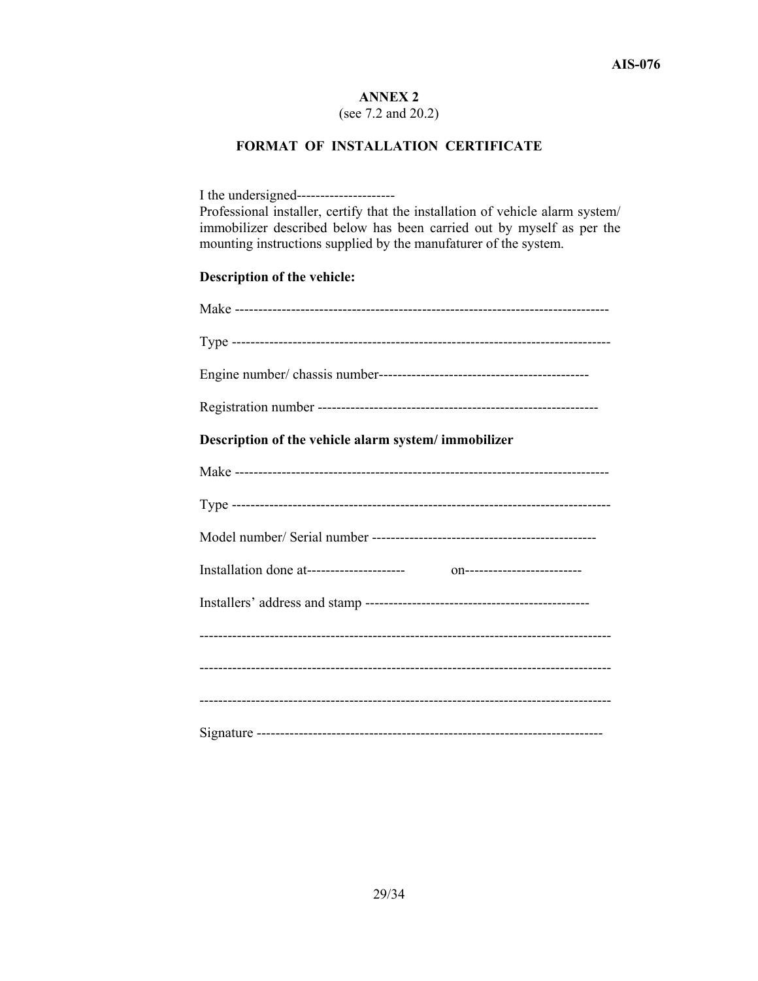(see 7.2 and 20.2)

# **FORMAT OF INSTALLATION CERTIFICATE**

| Professional installer, certify that the installation of vehicle alarm system/<br>immobilizer described below has been carried out by myself as per the<br>mounting instructions supplied by the manufaturer of the system. |
|-----------------------------------------------------------------------------------------------------------------------------------------------------------------------------------------------------------------------------|
| Description of the vehicle:                                                                                                                                                                                                 |
|                                                                                                                                                                                                                             |
|                                                                                                                                                                                                                             |
|                                                                                                                                                                                                                             |
|                                                                                                                                                                                                                             |
| Description of the vehicle alarm system/immobilizer                                                                                                                                                                         |
|                                                                                                                                                                                                                             |
|                                                                                                                                                                                                                             |
|                                                                                                                                                                                                                             |
|                                                                                                                                                                                                                             |
|                                                                                                                                                                                                                             |
|                                                                                                                                                                                                                             |
|                                                                                                                                                                                                                             |
|                                                                                                                                                                                                                             |
|                                                                                                                                                                                                                             |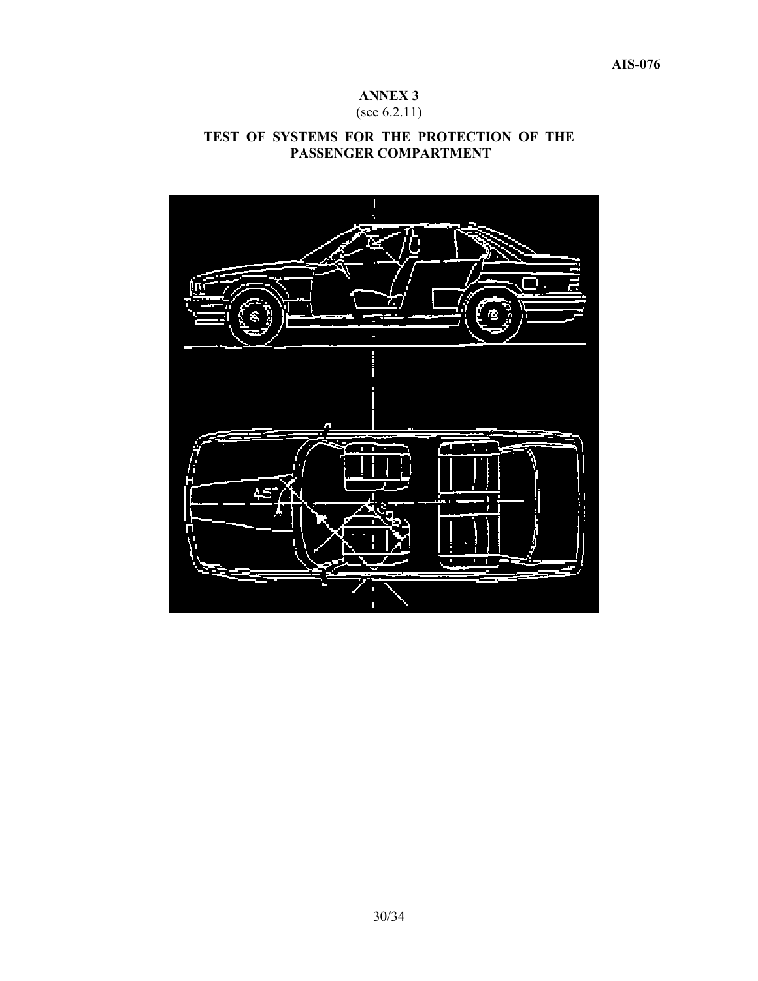# (see 6.2.11)

# **TEST OF SYSTEMS FOR THE PROTECTION OF THE PASSENGER COMPARTMENT**

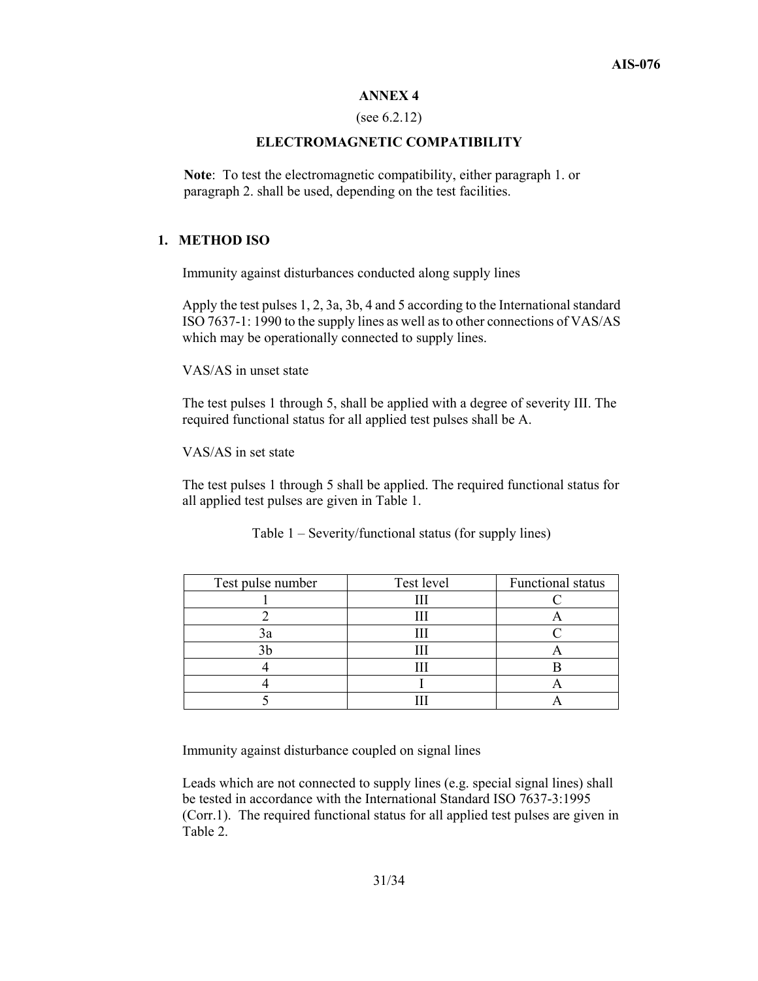#### (see 6.2.12)

#### **ELECTROMAGNETIC COMPATIBILITY**

**Note**: To test the electromagnetic compatibility, either paragraph 1. or paragraph 2. shall be used, depending on the test facilities.

## **1. METHOD ISO**

Immunity against disturbances conducted along supply lines

Apply the test pulses 1, 2, 3a, 3b, 4 and 5 according to the International standard ISO 7637-1: 1990 to the supply lines as well as to other connections of VAS/AS which may be operationally connected to supply lines.

VAS/AS in unset state

The test pulses 1 through 5, shall be applied with a degree of severity III. The required functional status for all applied test pulses shall be A.

VAS/AS in set state

The test pulses 1 through 5 shall be applied. The required functional status for all applied test pulses are given in Table 1.

| Test pulse number | Test level | Functional status |
|-------------------|------------|-------------------|
|                   |            |                   |
|                   |            |                   |
| эa                |            |                   |
|                   |            |                   |
|                   |            |                   |
|                   |            |                   |
|                   |            |                   |

Table 1 – Severity/functional status (for supply lines)

Immunity against disturbance coupled on signal lines

Leads which are not connected to supply lines (e.g. special signal lines) shall be tested in accordance with the International Standard ISO 7637-3:1995 (Corr.1). The required functional status for all applied test pulses are given in Table 2.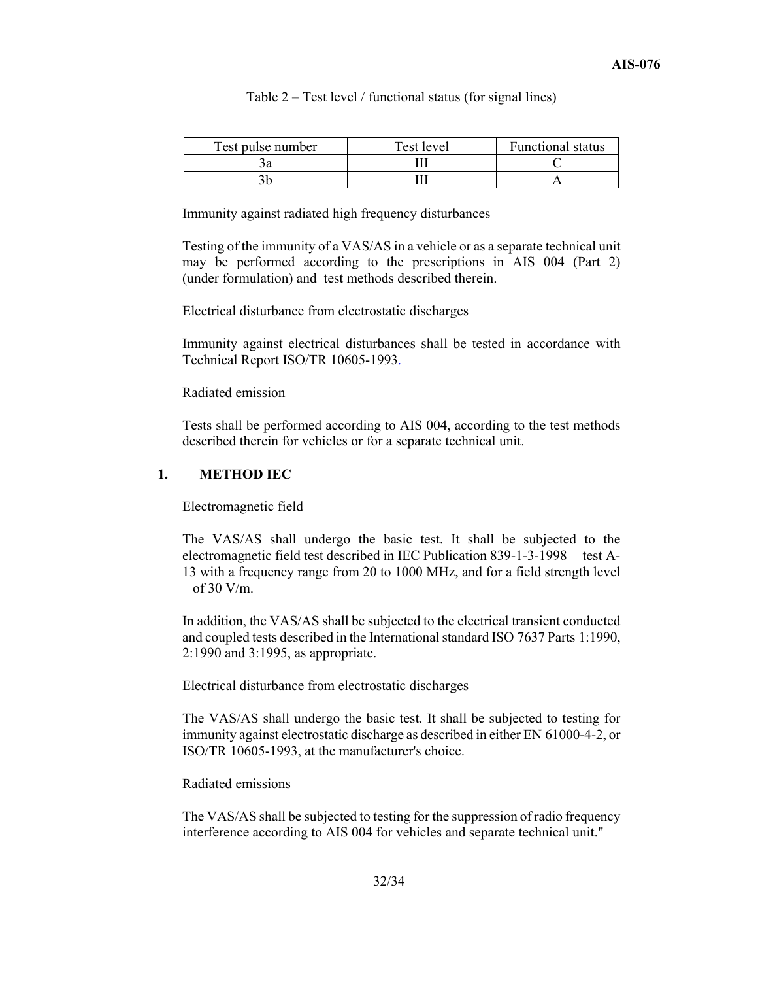Table 2 – Test level / functional status (for signal lines)

| Test pulse number | Test level | <b>Functional status</b> |
|-------------------|------------|--------------------------|
|                   |            |                          |
|                   |            |                          |

Immunity against radiated high frequency disturbances

Testing of the immunity of a VAS/AS in a vehicle or as a separate technical unit may be performed according to the prescriptions in AIS 004 (Part 2) (under formulation) and test methods described therein.

Electrical disturbance from electrostatic discharges

Immunity against electrical disturbances shall be tested in accordance with Technical Report ISO/TR 10605-1993.

Radiated emission

Tests shall be performed according to AIS 004, according to the test methods described therein for vehicles or for a separate technical unit.

#### **1. METHOD IEC**

Electromagnetic field

The VAS/AS shall undergo the basic test. It shall be subjected to the electromagnetic field test described in IEC Publication 839-1-3-1998 test A-13 with a frequency range from 20 to 1000 MHz, and for a field strength level of 30 V/m.

In addition, the VAS/AS shall be subjected to the electrical transient conducted and coupled tests described in the International standard ISO 7637 Parts 1:1990, 2:1990 and 3:1995, as appropriate.

Electrical disturbance from electrostatic discharges

The VAS/AS shall undergo the basic test. It shall be subjected to testing for immunity against electrostatic discharge as described in either EN 61000-4-2, or ISO/TR 10605-1993, at the manufacturer's choice.

#### Radiated emissions

The VAS/AS shall be subjected to testing for the suppression of radio frequency interference according to AIS 004 for vehicles and separate technical unit."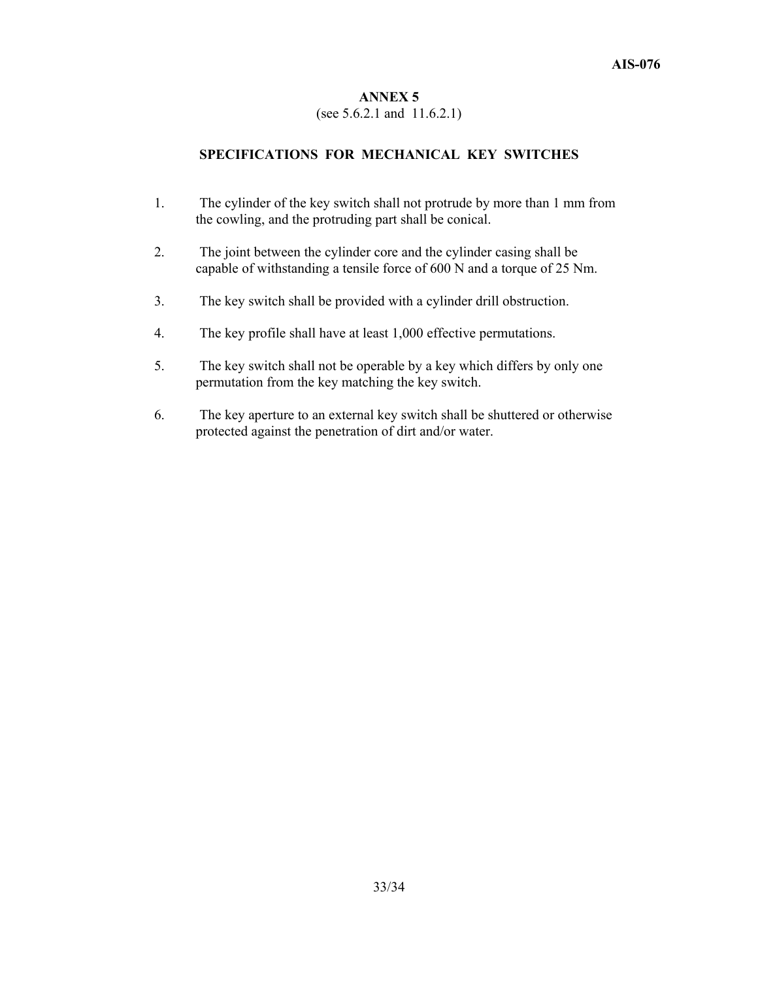#### (see 5.6.2.1 and 11.6.2.1)

#### **SPECIFICATIONS FOR MECHANICAL KEY SWITCHES**

- 1. The cylinder of the key switch shall not protrude by more than 1 mm from the cowling, and the protruding part shall be conical.
- 2. The joint between the cylinder core and the cylinder casing shall be capable of withstanding a tensile force of 600 N and a torque of 25 Nm.
- 3. The key switch shall be provided with a cylinder drill obstruction.
- 4. The key profile shall have at least 1,000 effective permutations.
- 5. The key switch shall not be operable by a key which differs by only one permutation from the key matching the key switch.
- 6. The key aperture to an external key switch shall be shuttered or otherwise protected against the penetration of dirt and/or water.